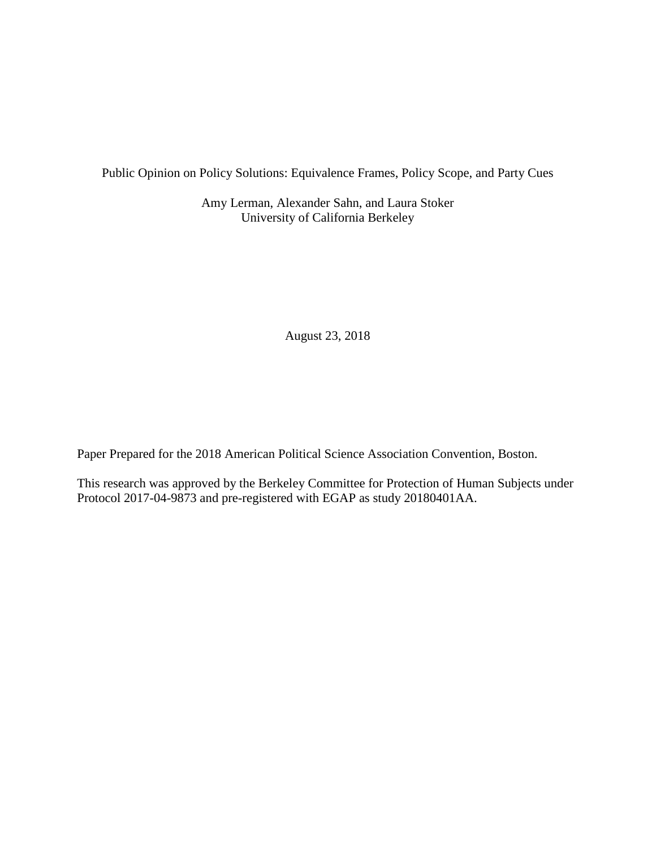Public Opinion on Policy Solutions: Equivalence Frames, Policy Scope, and Party Cues

Amy Lerman, Alexander Sahn, and Laura Stoker University of California Berkeley

August 23, 2018

Paper Prepared for the 2018 American Political Science Association Convention, Boston.

This research was approved by the Berkeley Committee for Protection of Human Subjects under Protocol 2017-04-9873 and pre-registered with EGAP as study 20180401AA.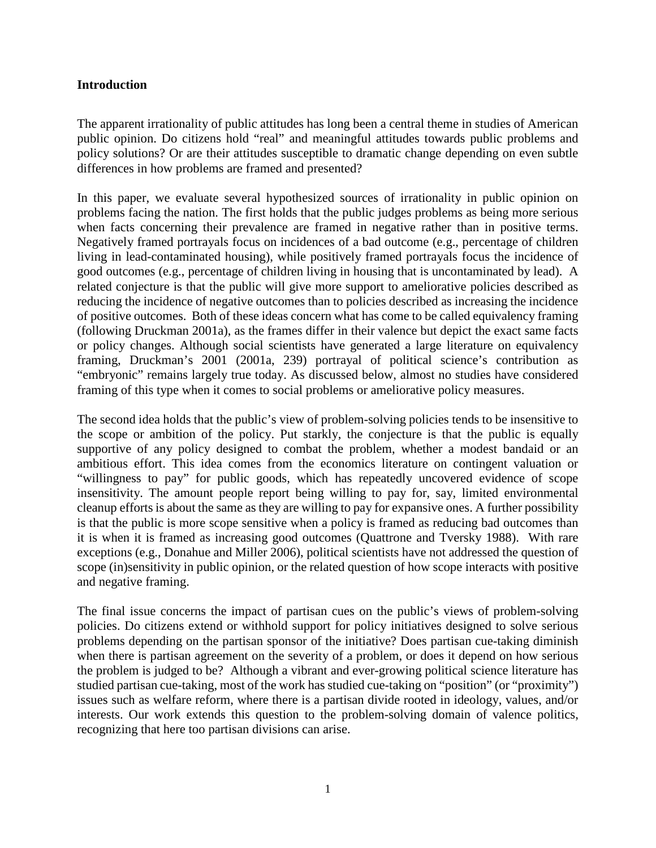# **Introduction**

The apparent irrationality of public attitudes has long been a central theme in studies of American public opinion. Do citizens hold "real" and meaningful attitudes towards public problems and policy solutions? Or are their attitudes susceptible to dramatic change depending on even subtle differences in how problems are framed and presented?

In this paper, we evaluate several hypothesized sources of irrationality in public opinion on problems facing the nation. The first holds that the public judges problems as being more serious when facts concerning their prevalence are framed in negative rather than in positive terms. Negatively framed portrayals focus on incidences of a bad outcome (e.g., percentage of children living in lead-contaminated housing), while positively framed portrayals focus the incidence of good outcomes (e.g., percentage of children living in housing that is uncontaminated by lead). A related conjecture is that the public will give more support to ameliorative policies described as reducing the incidence of negative outcomes than to policies described as increasing the incidence of positive outcomes. Both of these ideas concern what has come to be called equivalency framing (following Druckman 2001a), as the frames differ in their valence but depict the exact same facts or policy changes. Although social scientists have generated a large literature on equivalency framing, Druckman's 2001 (2001a, 239) portrayal of political science's contribution as "embryonic" remains largely true today. As discussed below, almost no studies have considered framing of this type when it comes to social problems or ameliorative policy measures.

The second idea holds that the public's view of problem-solving policies tends to be insensitive to the scope or ambition of the policy. Put starkly, the conjecture is that the public is equally supportive of any policy designed to combat the problem, whether a modest bandaid or an ambitious effort. This idea comes from the economics literature on contingent valuation or "willingness to pay" for public goods, which has repeatedly uncovered evidence of scope insensitivity. The amount people report being willing to pay for, say, limited environmental cleanup efforts is about the same as they are willing to pay for expansive ones. A further possibility is that the public is more scope sensitive when a policy is framed as reducing bad outcomes than it is when it is framed as increasing good outcomes (Quattrone and Tversky 1988). With rare exceptions (e.g., Donahue and Miller 2006), political scientists have not addressed the question of scope (in)sensitivity in public opinion, or the related question of how scope interacts with positive and negative framing.

The final issue concerns the impact of partisan cues on the public's views of problem-solving policies. Do citizens extend or withhold support for policy initiatives designed to solve serious problems depending on the partisan sponsor of the initiative? Does partisan cue-taking diminish when there is partisan agreement on the severity of a problem, or does it depend on how serious the problem is judged to be? Although a vibrant and ever-growing political science literature has studied partisan cue-taking, most of the work has studied cue-taking on "position" (or "proximity") issues such as welfare reform, where there is a partisan divide rooted in ideology, values, and/or interests. Our work extends this question to the problem-solving domain of valence politics, recognizing that here too partisan divisions can arise.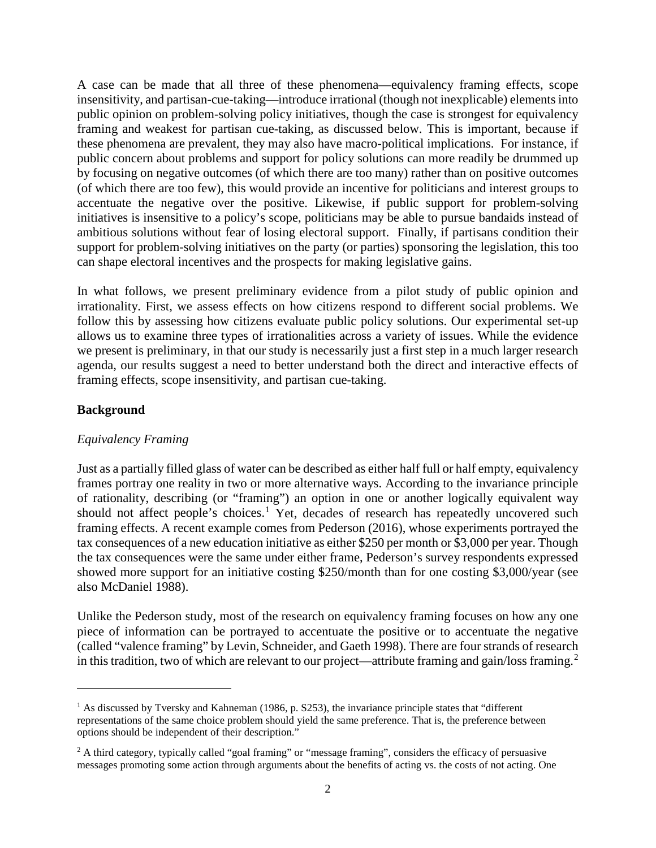A case can be made that all three of these phenomena—equivalency framing effects, scope insensitivity, and partisan-cue-taking—introduce irrational (though not inexplicable) elements into public opinion on problem-solving policy initiatives, though the case is strongest for equivalency framing and weakest for partisan cue-taking, as discussed below. This is important, because if these phenomena are prevalent, they may also have macro-political implications. For instance, if public concern about problems and support for policy solutions can more readily be drummed up by focusing on negative outcomes (of which there are too many) rather than on positive outcomes (of which there are too few), this would provide an incentive for politicians and interest groups to accentuate the negative over the positive. Likewise, if public support for problem-solving initiatives is insensitive to a policy's scope, politicians may be able to pursue bandaids instead of ambitious solutions without fear of losing electoral support. Finally, if partisans condition their support for problem-solving initiatives on the party (or parties) sponsoring the legislation, this too can shape electoral incentives and the prospects for making legislative gains.

In what follows, we present preliminary evidence from a pilot study of public opinion and irrationality. First, we assess effects on how citizens respond to different social problems. We follow this by assessing how citizens evaluate public policy solutions. Our experimental set-up allows us to examine three types of irrationalities across a variety of issues. While the evidence we present is preliminary, in that our study is necessarily just a first step in a much larger research agenda, our results suggest a need to better understand both the direct and interactive effects of framing effects, scope insensitivity, and partisan cue-taking.

# **Background**

l

# *Equivalency Framing*

Just as a partially filled glass of water can be described as either half full or half empty, equivalency frames portray one reality in two or more alternative ways. According to the invariance principle of rationality, describing (or "framing") an option in one or another logically equivalent way should not affect people's choices.<sup>[1](#page-2-0)</sup> Yet, decades of research has repeatedly uncovered such framing effects. A recent example comes from Pederson (2016), whose experiments portrayed the tax consequences of a new education initiative as either \$250 per month or \$3,000 per year. Though the tax consequences were the same under either frame, Pederson's survey respondents expressed showed more support for an initiative costing \$250/month than for one costing \$3,000/year (see also McDaniel 1988).

Unlike the Pederson study, most of the research on equivalency framing focuses on how any one piece of information can be portrayed to accentuate the positive or to accentuate the negative (called "valence framing" by Levin, Schneider, and Gaeth 1998). There are fourstrands of research in this tradition, two of which are relevant to our project—attribute framing and gain/loss framing.<sup>[2](#page-2-1)</sup>

<span id="page-2-0"></span><sup>&</sup>lt;sup>1</sup> As discussed by Tversky and Kahneman (1986, p. S253), the invariance principle states that "different" representations of the same choice problem should yield the same preference. That is, the preference between options should be independent of their description."

<span id="page-2-1"></span><sup>&</sup>lt;sup>2</sup> A third category, typically called "goal framing" or "message framing", considers the efficacy of persuasive messages promoting some action through arguments about the benefits of acting vs. the costs of not acting. One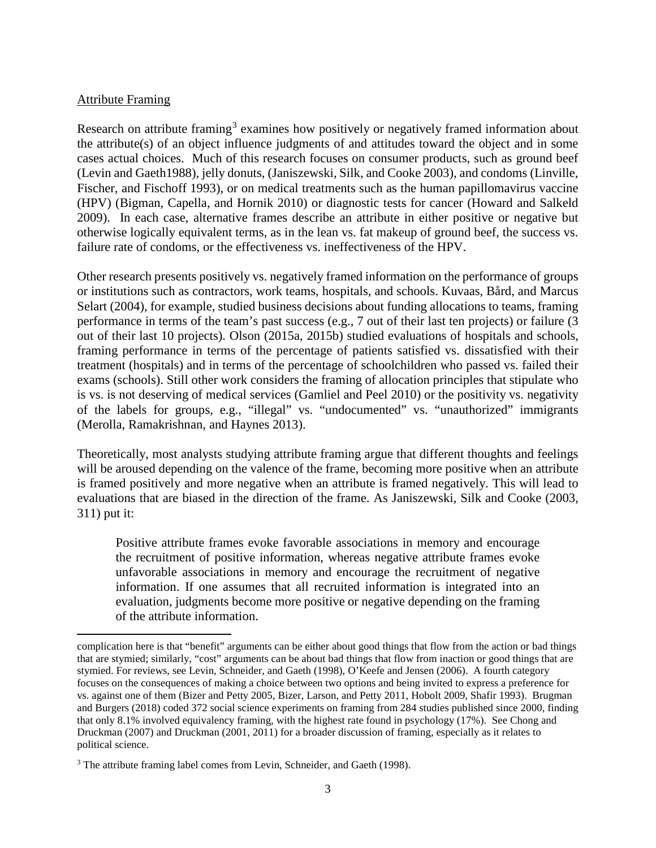## Attribute Framing

l

Research on attribute framing<sup>[3](#page-3-0)</sup> examines how positively or negatively framed information about the attribute(s) of an object influence judgments of and attitudes toward the object and in some cases actual choices. Much of this research focuses on consumer products, such as ground beef (Levin and Gaeth1988), jelly donuts, (Janiszewski, Silk, and Cooke 2003), and condoms (Linville, Fischer, and Fischoff 1993), or on medical treatments such as the human papillomavirus vaccine (HPV) (Bigman, Capella, and Hornik 2010) or diagnostic tests for cancer (Howard and Salkeld 2009). In each case, alternative frames describe an attribute in either positive or negative but otherwise logically equivalent terms, as in the lean vs. fat makeup of ground beef, the success vs. failure rate of condoms, or the effectiveness vs. ineffectiveness of the HPV.

Other research presents positively vs. negatively framed information on the performance of groups or institutions such as contractors, work teams, hospitals, and schools. Kuvaas, Bård, and Marcus Selart (2004), for example, studied business decisions about funding allocations to teams, framing performance in terms of the team's past success (e.g., 7 out of their last ten projects) or failure (3 out of their last 10 projects). Olson (2015a, 2015b) studied evaluations of hospitals and schools, framing performance in terms of the percentage of patients satisfied vs. dissatisfied with their treatment (hospitals) and in terms of the percentage of schoolchildren who passed vs. failed their exams (schools). Still other work considers the framing of allocation principles that stipulate who is vs. is not deserving of medical services (Gamliel and Peel 2010) or the positivity vs. negativity of the labels for groups, e.g., "illegal" vs. "undocumented" vs. "unauthorized" immigrants (Merolla, Ramakrishnan, and Haynes 2013).

Theoretically, most analysts studying attribute framing argue that different thoughts and feelings will be aroused depending on the valence of the frame, becoming more positive when an attribute is framed positively and more negative when an attribute is framed negatively. This will lead to evaluations that are biased in the direction of the frame. As Janiszewski, Silk and Cooke (2003, 311) put it:

Positive attribute frames evoke favorable associations in memory and encourage the recruitment of positive information, whereas negative attribute frames evoke unfavorable associations in memory and encourage the recruitment of negative information. If one assumes that all recruited information is integrated into an evaluation, judgments become more positive or negative depending on the framing of the attribute information.

complication here is that "benefit" arguments can be either about good things that flow from the action or bad things that are stymied; similarly, "cost" arguments can be about bad things that flow from inaction or good things that are stymied. For reviews, see Levin, Schneider, and Gaeth (1998), O'Keefe and Jensen (2006). A fourth category focuses on the consequences of making a choice between two options and being invited to express a preference for vs. against one of them (Bizer and Petty 2005, Bizer, Larson, and Petty 2011, Hobolt 2009, Shafir 1993). Brugman and Burgers (2018) coded 372 social science experiments on framing from 284 studies published since 2000, finding that only 8.1% involved equivalency framing, with the highest rate found in psychology (17%). See Chong and Druckman (2007) and Druckman (2001, 2011) for a broader discussion of framing, especially as it relates to political science.

<span id="page-3-0"></span><sup>&</sup>lt;sup>3</sup> The attribute framing label comes from Levin, Schneider, and Gaeth (1998).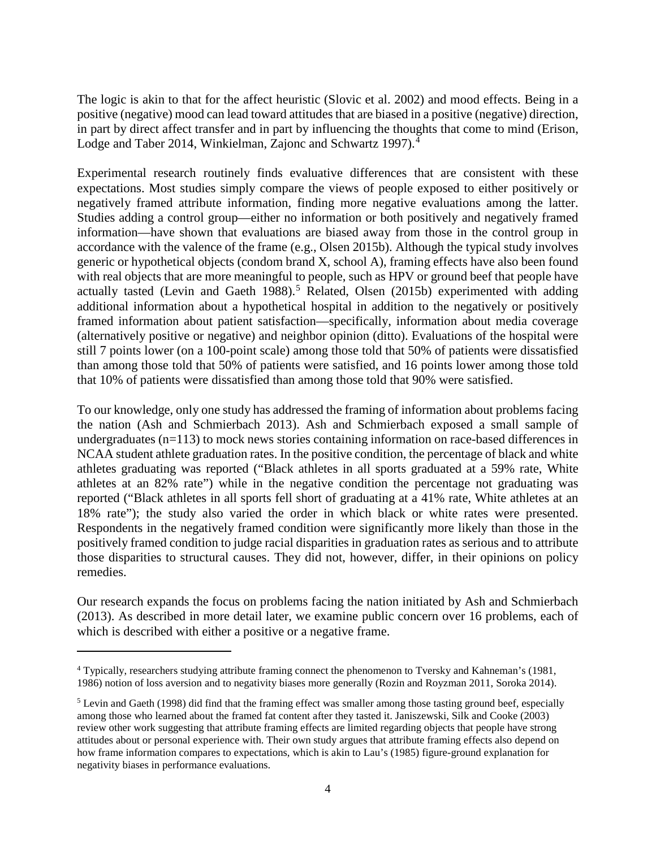The logic is akin to that for the affect heuristic (Slovic et al. 2002) and mood effects. Being in a positive (negative) mood can lead toward attitudes that are biased in a positive (negative) direction, in part by direct affect transfer and in part by influencing the thoughts that come to mind (Erison, Lodge and Taber 201[4](#page-4-0), Winkielman, Zajonc and Schwartz 1997).<sup>4</sup>

Experimental research routinely finds evaluative differences that are consistent with these expectations. Most studies simply compare the views of people exposed to either positively or negatively framed attribute information, finding more negative evaluations among the latter. Studies adding a control group—either no information or both positively and negatively framed information—have shown that evaluations are biased away from those in the control group in accordance with the valence of the frame (e.g., Olsen 2015b). Although the typical study involves generic or hypothetical objects (condom brand X, school A), framing effects have also been found with real objects that are more meaningful to people, such as HPV or ground beef that people have actually tasted (Levin and Gaeth 1988). [5](#page-4-1) Related, Olsen (2015b) experimented with adding additional information about a hypothetical hospital in addition to the negatively or positively framed information about patient satisfaction—specifically, information about media coverage (alternatively positive or negative) and neighbor opinion (ditto). Evaluations of the hospital were still 7 points lower (on a 100-point scale) among those told that 50% of patients were dissatisfied than among those told that 50% of patients were satisfied, and 16 points lower among those told that 10% of patients were dissatisfied than among those told that 90% were satisfied.

To our knowledge, only one study has addressed the framing of information about problems facing the nation (Ash and Schmierbach 2013). Ash and Schmierbach exposed a small sample of undergraduates (n=113) to mock news stories containing information on race-based differences in NCAA student athlete graduation rates. In the positive condition, the percentage of black and white athletes graduating was reported ("Black athletes in all sports graduated at a 59% rate, White athletes at an 82% rate") while in the negative condition the percentage not graduating was reported ("Black athletes in all sports fell short of graduating at a 41% rate, White athletes at an 18% rate"); the study also varied the order in which black or white rates were presented. Respondents in the negatively framed condition were significantly more likely than those in the positively framed condition to judge racial disparities in graduation rates as serious and to attribute those disparities to structural causes. They did not, however, differ, in their opinions on policy remedies.

Our research expands the focus on problems facing the nation initiated by Ash and Schmierbach (2013). As described in more detail later, we examine public concern over 16 problems, each of which is described with either a positive or a negative frame.

l

<span id="page-4-0"></span><sup>&</sup>lt;sup>4</sup> Typically, researchers studying attribute framing connect the phenomenon to Tversky and Kahneman's (1981, 1986) notion of loss aversion and to negativity biases more generally (Rozin and Royzman 2011, Soroka 2014).

<span id="page-4-1"></span><sup>&</sup>lt;sup>5</sup> Levin and Gaeth (1998) did find that the framing effect was smaller among those tasting ground beef, especially among those who learned about the framed fat content after they tasted it. Janiszewski, Silk and Cooke (2003) review other work suggesting that attribute framing effects are limited regarding objects that people have strong attitudes about or personal experience with. Their own study argues that attribute framing effects also depend on how frame information compares to expectations, which is akin to Lau's (1985) figure-ground explanation for negativity biases in performance evaluations.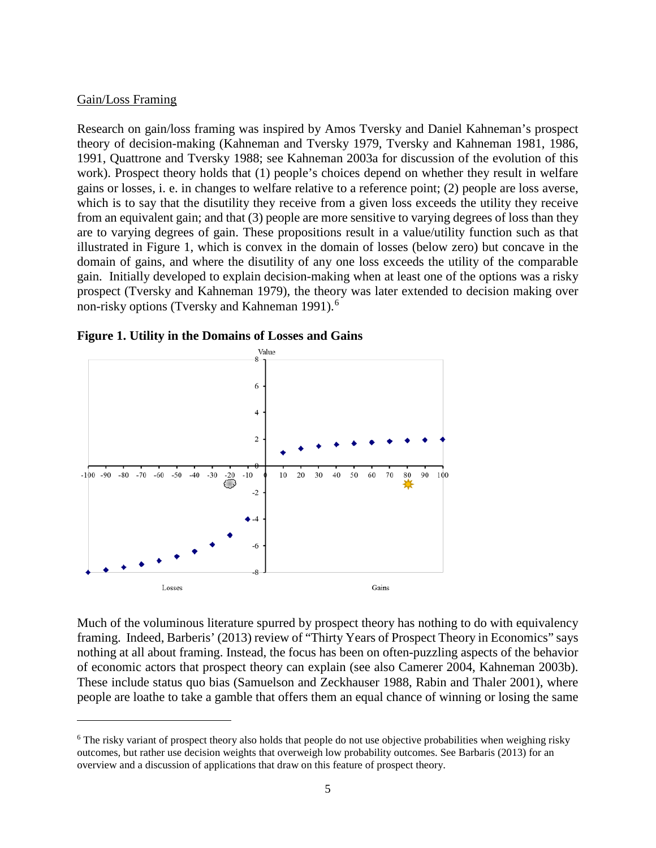#### Gain/Loss Framing

 $\overline{a}$ 

Research on gain/loss framing was inspired by Amos Tversky and Daniel Kahneman's prospect theory of decision-making (Kahneman and Tversky 1979, Tversky and Kahneman 1981, 1986, 1991, Quattrone and Tversky 1988; see Kahneman 2003a for discussion of the evolution of this work). Prospect theory holds that (1) people's choices depend on whether they result in welfare gains or losses, i. e. in changes to welfare relative to a reference point; (2) people are loss averse, which is to say that the disutility they receive from a given loss exceeds the utility they receive from an equivalent gain; and that (3) people are more sensitive to varying degrees of loss than they are to varying degrees of gain. These propositions result in a value/utility function such as that illustrated in Figure 1, which is convex in the domain of losses (below zero) but concave in the domain of gains, and where the disutility of any one loss exceeds the utility of the comparable gain. Initially developed to explain decision-making when at least one of the options was a risky prospect (Tversky and Kahneman 1979), the theory was later extended to decision making over non-risky options (Tversky and Kahneman 1991).<sup>[6](#page-5-0)</sup>





Much of the voluminous literature spurred by prospect theory has nothing to do with equivalency framing. Indeed, Barberis' (2013) review of "Thirty Years of Prospect Theory in Economics" says nothing at all about framing. Instead, the focus has been on often-puzzling aspects of the behavior of economic actors that prospect theory can explain (see also Camerer 2004, Kahneman 2003b). These include status quo bias (Samuelson and Zeckhauser 1988, Rabin and Thaler 2001), where people are loathe to take a gamble that offers them an equal chance of winning or losing the same

<span id="page-5-0"></span><sup>&</sup>lt;sup>6</sup> The risky variant of prospect theory also holds that people do not use objective probabilities when weighing risky outcomes, but rather use decision weights that overweigh low probability outcomes. See Barbaris (2013) for an overview and a discussion of applications that draw on this feature of prospect theory.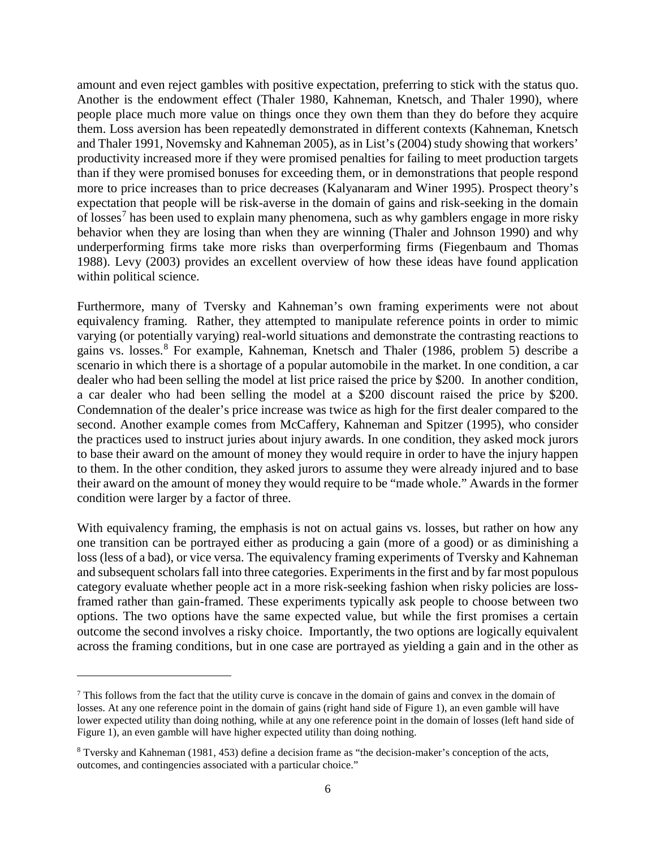amount and even reject gambles with positive expectation, preferring to stick with the status quo. Another is the endowment effect (Thaler 1980, Kahneman, Knetsch, and Thaler 1990), where people place much more value on things once they own them than they do before they acquire them. Loss aversion has been repeatedly demonstrated in different contexts (Kahneman, Knetsch and Thaler 1991, Novemsky and Kahneman 2005), as in List's (2004) study showing that workers' productivity increased more if they were promised penalties for failing to meet production targets than if they were promised bonuses for exceeding them, or in demonstrations that people respond more to price increases than to price decreases (Kalyanaram and Winer 1995). Prospect theory's expectation that people will be risk-averse in the domain of gains and risk-seeking in the domain of losses<sup>[7](#page-6-0)</sup> has been used to explain many phenomena, such as why gamblers engage in more risky behavior when they are losing than when they are winning (Thaler and Johnson 1990) and why underperforming firms take more risks than overperforming firms (Fiegenbaum and Thomas 1988). Levy (2003) provides an excellent overview of how these ideas have found application within political science.

Furthermore, many of Tversky and Kahneman's own framing experiments were not about equivalency framing. Rather, they attempted to manipulate reference points in order to mimic varying (or potentially varying) real-world situations and demonstrate the contrasting reactions to gains vs. losses.[8](#page-6-1) For example, Kahneman, Knetsch and Thaler (1986, problem 5) describe a scenario in which there is a shortage of a popular automobile in the market. In one condition, a car dealer who had been selling the model at list price raised the price by \$200. In another condition, a car dealer who had been selling the model at a \$200 discount raised the price by \$200. Condemnation of the dealer's price increase was twice as high for the first dealer compared to the second. Another example comes from McCaffery, Kahneman and Spitzer (1995), who consider the practices used to instruct juries about injury awards. In one condition, they asked mock jurors to base their award on the amount of money they would require in order to have the injury happen to them. In the other condition, they asked jurors to assume they were already injured and to base their award on the amount of money they would require to be "made whole." Awards in the former condition were larger by a factor of three.

With equivalency framing, the emphasis is not on actual gains vs. losses, but rather on how any one transition can be portrayed either as producing a gain (more of a good) or as diminishing a loss (less of a bad), or vice versa. The equivalency framing experiments of Tversky and Kahneman and subsequent scholars fall into three categories. Experiments in the first and by far most populous category evaluate whether people act in a more risk-seeking fashion when risky policies are lossframed rather than gain-framed. These experiments typically ask people to choose between two options. The two options have the same expected value, but while the first promises a certain outcome the second involves a risky choice. Importantly, the two options are logically equivalent across the framing conditions, but in one case are portrayed as yielding a gain and in the other as

 $\overline{\phantom{a}}$ 

<span id="page-6-0"></span><sup>7</sup> This follows from the fact that the utility curve is concave in the domain of gains and convex in the domain of losses. At any one reference point in the domain of gains (right hand side of Figure 1), an even gamble will have lower expected utility than doing nothing, while at any one reference point in the domain of losses (left hand side of Figure 1), an even gamble will have higher expected utility than doing nothing.

<span id="page-6-1"></span><sup>8</sup> Tversky and Kahneman (1981, 453) define a decision frame as "the decision-maker's conception of the acts, outcomes, and contingencies associated with a particular choice."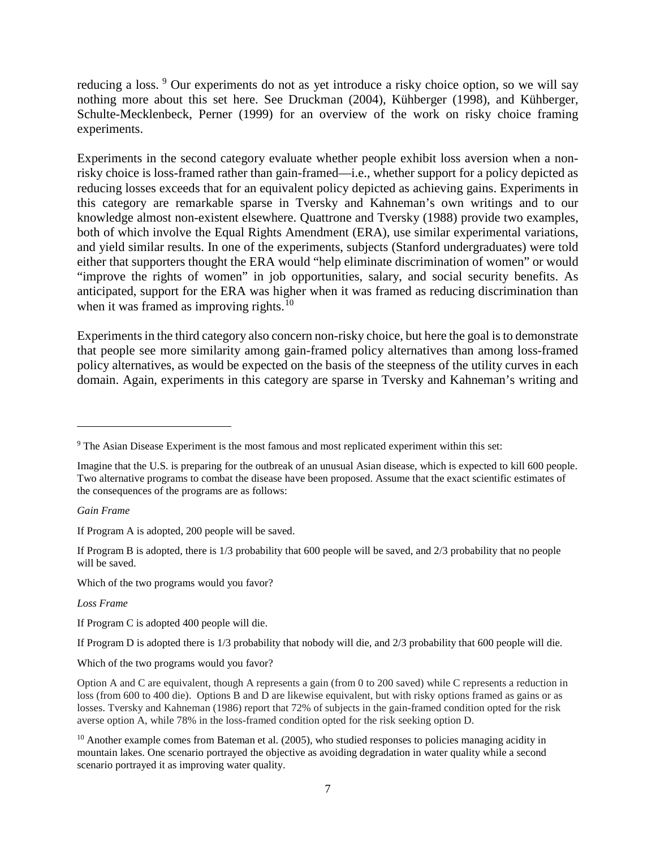reducing a loss. <sup>[9](#page-7-0)</sup> Our experiments do not as yet introduce a risky choice option, so we will say nothing more about this set here. See Druckman (2004), Kühberger (1998), and Kühberger, Schulte-Mecklenbeck, Perner (1999) for an overview of the work on risky choice framing experiments.

Experiments in the second category evaluate whether people exhibit loss aversion when a nonrisky choice is loss-framed rather than gain-framed—i.e., whether support for a policy depicted as reducing losses exceeds that for an equivalent policy depicted as achieving gains. Experiments in this category are remarkable sparse in Tversky and Kahneman's own writings and to our knowledge almost non-existent elsewhere. Quattrone and Tversky (1988) provide two examples, both of which involve the Equal Rights Amendment (ERA), use similar experimental variations, and yield similar results. In one of the experiments, subjects (Stanford undergraduates) were told either that supporters thought the ERA would "help eliminate discrimination of women" or would "improve the rights of women" in job opportunities, salary, and social security benefits. As anticipated, support for the ERA was higher when it was framed as reducing discrimination than when it was framed as improving rights.<sup>[10](#page-7-1)</sup>

Experiments in the third category also concern non-risky choice, but here the goal is to demonstrate that people see more similarity among gain-framed policy alternatives than among loss-framed policy alternatives, as would be expected on the basis of the steepness of the utility curves in each domain. Again, experiments in this category are sparse in Tversky and Kahneman's writing and

*Gain Frame*

l

If Program A is adopted, 200 people will be saved.

If Program B is adopted, there is 1/3 probability that 600 people will be saved, and 2/3 probability that no people will be saved.

Which of the two programs would you favor?

*Loss Frame*

If Program C is adopted 400 people will die.

If Program D is adopted there is 1/3 probability that nobody will die, and 2/3 probability that 600 people will die.

Which of the two programs would you favor?

<span id="page-7-0"></span><sup>9</sup> The Asian Disease Experiment is the most famous and most replicated experiment within this set:

Imagine that the U.S. is preparing for the outbreak of an unusual Asian disease, which is expected to kill 600 people. Two alternative programs to combat the disease have been proposed. Assume that the exact scientific estimates of the consequences of the programs are as follows:

Option A and C are equivalent, though A represents a gain (from 0 to 200 saved) while C represents a reduction in loss (from 600 to 400 die). Options B and D are likewise equivalent, but with risky options framed as gains or as losses. Tversky and Kahneman (1986) report that 72% of subjects in the gain-framed condition opted for the risk averse option A, while 78% in the loss-framed condition opted for the risk seeking option D.

<span id="page-7-1"></span> $10$  Another example comes from Bateman et al. (2005), who studied responses to policies managing acidity in mountain lakes. One scenario portrayed the objective as avoiding degradation in water quality while a second scenario portrayed it as improving water quality.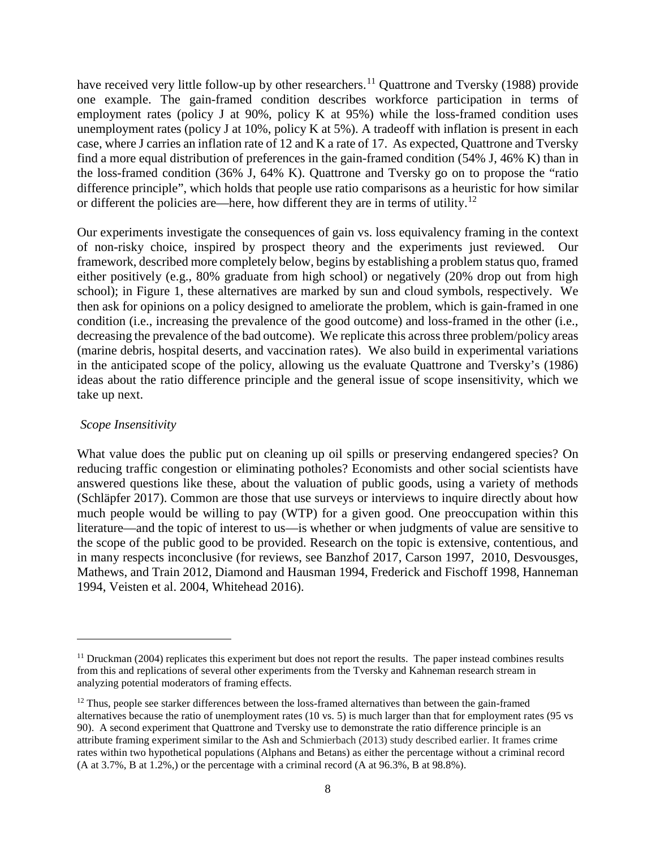have received very little follow-up by other researchers.<sup>[11](#page-8-0)</sup> Quattrone and Tversky (1988) provide one example. The gain-framed condition describes workforce participation in terms of employment rates (policy J at 90%, policy K at 95%) while the loss-framed condition uses unemployment rates (policy J at 10%, policy K at 5%). A tradeoff with inflation is present in each case, where J carries an inflation rate of 12 and K a rate of 17. As expected, Quattrone and Tversky find a more equal distribution of preferences in the gain-framed condition (54% J, 46% K) than in the loss-framed condition (36% J, 64% K). Quattrone and Tversky go on to propose the "ratio difference principle", which holds that people use ratio comparisons as a heuristic for how similar or different the policies are—here, how different they are in terms of utility.<sup>[12](#page-8-1)</sup>

Our experiments investigate the consequences of gain vs. loss equivalency framing in the context of non-risky choice, inspired by prospect theory and the experiments just reviewed. Our framework, described more completely below, begins by establishing a problem status quo, framed either positively (e.g., 80% graduate from high school) or negatively (20% drop out from high school); in Figure 1, these alternatives are marked by sun and cloud symbols, respectively. We then ask for opinions on a policy designed to ameliorate the problem, which is gain-framed in one condition (i.e., increasing the prevalence of the good outcome) and loss-framed in the other (i.e., decreasing the prevalence of the bad outcome). We replicate this across three problem/policy areas (marine debris, hospital deserts, and vaccination rates). We also build in experimental variations in the anticipated scope of the policy, allowing us the evaluate Quattrone and Tversky's (1986) ideas about the ratio difference principle and the general issue of scope insensitivity, which we take up next.

## *Scope Insensitivity*

 $\overline{\phantom{a}}$ 

What value does the public put on cleaning up oil spills or preserving endangered species? On reducing traffic congestion or eliminating potholes? Economists and other social scientists have answered questions like these, about the valuation of public goods, using a variety of methods (Schläpfer 2017). Common are those that use surveys or interviews to inquire directly about how much people would be willing to pay (WTP) for a given good. One preoccupation within this literature—and the topic of interest to us—is whether or when judgments of value are sensitive to the scope of the public good to be provided. Research on the topic is extensive, contentious, and in many respects inconclusive (for reviews, see Banzhof 2017, Carson 1997, 2010, Desvousges, Mathews, and Train 2012, Diamond and Hausman 1994, Frederick and Fischoff 1998, Hanneman 1994, Veisten et al. 2004, Whitehead 2016).

<span id="page-8-0"></span> $11$  Druckman (2004) replicates this experiment but does not report the results. The paper instead combines results from this and replications of several other experiments from the Tversky and Kahneman research stream in analyzing potential moderators of framing effects.

<span id="page-8-1"></span><sup>&</sup>lt;sup>12</sup> Thus, people see starker differences between the loss-framed alternatives than between the gain-framed alternatives because the ratio of unemployment rates (10 vs. 5) is much larger than that for employment rates (95 vs 90). A second experiment that Quattrone and Tversky use to demonstrate the ratio difference principle is an attribute framing experiment similar to the Ash and Schmierbach (2013) study described earlier. It frames crime rates within two hypothetical populations (Alphans and Betans) as either the percentage without a criminal record (A at 3.7%, B at 1.2%,) or the percentage with a criminal record (A at 96.3%, B at 98.8%).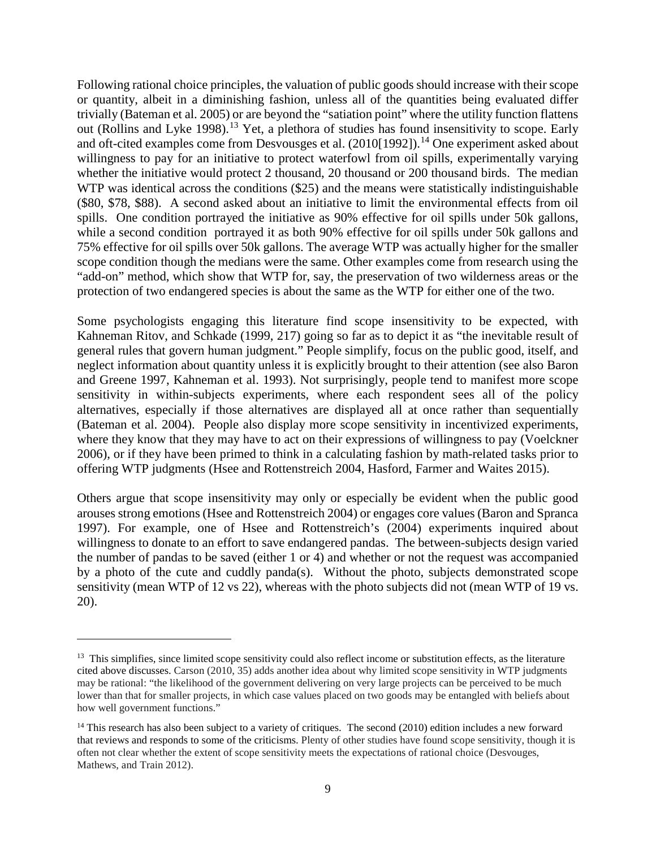Following rational choice principles, the valuation of public goods should increase with their scope or quantity, albeit in a diminishing fashion, unless all of the quantities being evaluated differ trivially (Bateman et al. 2005) or are beyond the "satiation point" where the utility function flattens out (Rollins and Lyke 1998).<sup>[13](#page-9-0)</sup> Yet, a plethora of studies has found insensitivity to scope. Early and oft-cited examples come from Desvousges et al.  $(2010[1992])$ .<sup>[14](#page-9-1)</sup> One experiment asked about willingness to pay for an initiative to protect waterfowl from oil spills, experimentally varying whether the initiative would protect 2 thousand, 20 thousand or 200 thousand birds. The median WTP was identical across the conditions (\$25) and the means were statistically indistinguishable (\$80, \$78, \$88). A second asked about an initiative to limit the environmental effects from oil spills. One condition portrayed the initiative as 90% effective for oil spills under 50k gallons, while a second condition portrayed it as both 90% effective for oil spills under 50k gallons and 75% effective for oil spills over 50k gallons. The average WTP was actually higher for the smaller scope condition though the medians were the same. Other examples come from research using the "add-on" method, which show that WTP for, say, the preservation of two wilderness areas or the protection of two endangered species is about the same as the WTP for either one of the two.

Some psychologists engaging this literature find scope insensitivity to be expected, with Kahneman Ritov, and Schkade (1999, 217) going so far as to depict it as "the inevitable result of general rules that govern human judgment." People simplify, focus on the public good, itself, and neglect information about quantity unless it is explicitly brought to their attention (see also Baron and Greene 1997, Kahneman et al. 1993). Not surprisingly, people tend to manifest more scope sensitivity in within-subjects experiments, where each respondent sees all of the policy alternatives, especially if those alternatives are displayed all at once rather than sequentially (Bateman et al. 2004). People also display more scope sensitivity in incentivized experiments, where they know that they may have to act on their expressions of willingness to pay (Voelckner 2006), or if they have been primed to think in a calculating fashion by math-related tasks prior to offering WTP judgments (Hsee and Rottenstreich 2004, Hasford, Farmer and Waites 2015).

Others argue that scope insensitivity may only or especially be evident when the public good arouses strong emotions (Hsee and Rottenstreich 2004) or engages core values (Baron and Spranca 1997). For example, one of Hsee and Rottenstreich's (2004) experiments inquired about willingness to donate to an effort to save endangered pandas. The between-subjects design varied the number of pandas to be saved (either 1 or 4) and whether or not the request was accompanied by a photo of the cute and cuddly panda(s). Without the photo, subjects demonstrated scope sensitivity (mean WTP of 12 vs 22), whereas with the photo subjects did not (mean WTP of 19 vs. 20).

 $\overline{\phantom{a}}$ 

<span id="page-9-0"></span> $<sup>13</sup>$  This simplifies, since limited scope sensitivity could also reflect income or substitution effects, as the literature</sup> cited above discusses. Carson (2010, 35) adds another idea about why limited scope sensitivity in WTP judgments may be rational: "the likelihood of the government delivering on very large projects can be perceived to be much lower than that for smaller projects, in which case values placed on two goods may be entangled with beliefs about how well government functions."

<span id="page-9-1"></span> $<sup>14</sup>$  This research has also been subject to a variety of critiques. The second (2010) edition includes a new forward</sup> that reviews and responds to some of the criticisms. Plenty of other studies have found scope sensitivity, though it is often not clear whether the extent of scope sensitivity meets the expectations of rational choice (Desvouges, Mathews, and Train 2012).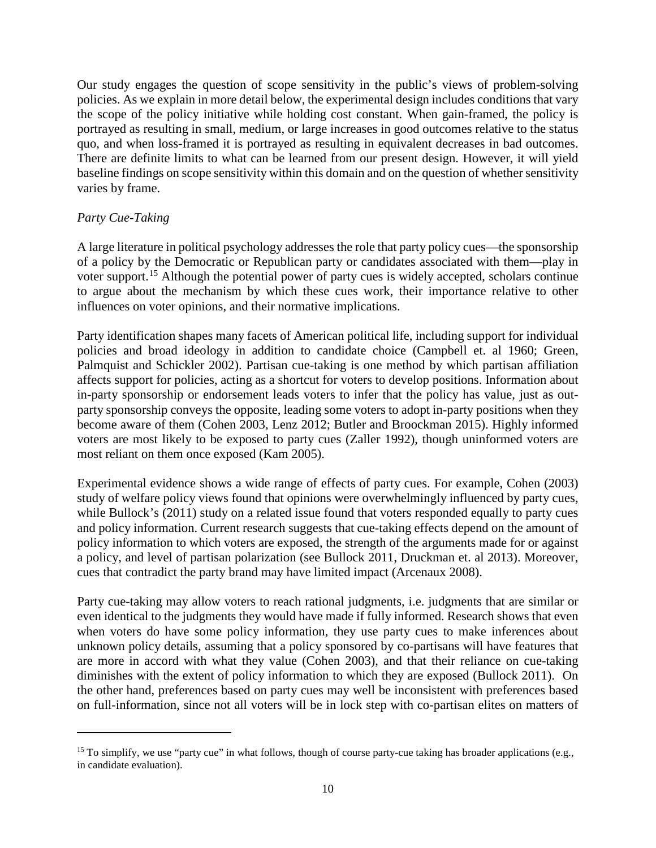Our study engages the question of scope sensitivity in the public's views of problem-solving policies. As we explain in more detail below, the experimental design includes conditions that vary the scope of the policy initiative while holding cost constant. When gain-framed, the policy is portrayed as resulting in small, medium, or large increases in good outcomes relative to the status quo, and when loss-framed it is portrayed as resulting in equivalent decreases in bad outcomes. There are definite limits to what can be learned from our present design. However, it will yield baseline findings on scope sensitivity within this domain and on the question of whether sensitivity varies by frame.

# *Party Cue-Taking*

l

A large literature in political psychology addresses the role that party policy cues—the sponsorship of a policy by the Democratic or Republican party or candidates associated with them—play in voter support.<sup>[15](#page-10-0)</sup> Although the potential power of party cues is widely accepted, scholars continue to argue about the mechanism by which these cues work, their importance relative to other influences on voter opinions, and their normative implications.

Party identification shapes many facets of American political life, including support for individual policies and broad ideology in addition to candidate choice (Campbell et. al 1960; Green, Palmquist and Schickler 2002). Partisan cue-taking is one method by which partisan affiliation affects support for policies, acting as a shortcut for voters to develop positions. Information about in-party sponsorship or endorsement leads voters to infer that the policy has value, just as outparty sponsorship conveys the opposite, leading some voters to adopt in-party positions when they become aware of them (Cohen 2003, Lenz 2012; Butler and Broockman 2015). Highly informed voters are most likely to be exposed to party cues (Zaller 1992), though uninformed voters are most reliant on them once exposed (Kam 2005).

Experimental evidence shows a wide range of effects of party cues. For example, Cohen (2003) study of welfare policy views found that opinions were overwhelmingly influenced by party cues, while Bullock's (2011) study on a related issue found that voters responded equally to party cues and policy information. Current research suggests that cue-taking effects depend on the amount of policy information to which voters are exposed, the strength of the arguments made for or against a policy, and level of partisan polarization (see Bullock 2011, Druckman et. al 2013). Moreover, cues that contradict the party brand may have limited impact (Arcenaux 2008).

Party cue-taking may allow voters to reach rational judgments, i.e. judgments that are similar or even identical to the judgments they would have made if fully informed. Research shows that even when voters do have some policy information, they use party cues to make inferences about unknown policy details, assuming that a policy sponsored by co-partisans will have features that are more in accord with what they value (Cohen 2003), and that their reliance on cue-taking diminishes with the extent of policy information to which they are exposed (Bullock 2011). On the other hand, preferences based on party cues may well be inconsistent with preferences based on full-information, since not all voters will be in lock step with co-partisan elites on matters of

<span id="page-10-0"></span><sup>&</sup>lt;sup>15</sup> To simplify, we use "party cue" in what follows, though of course party-cue taking has broader applications (e.g., in candidate evaluation).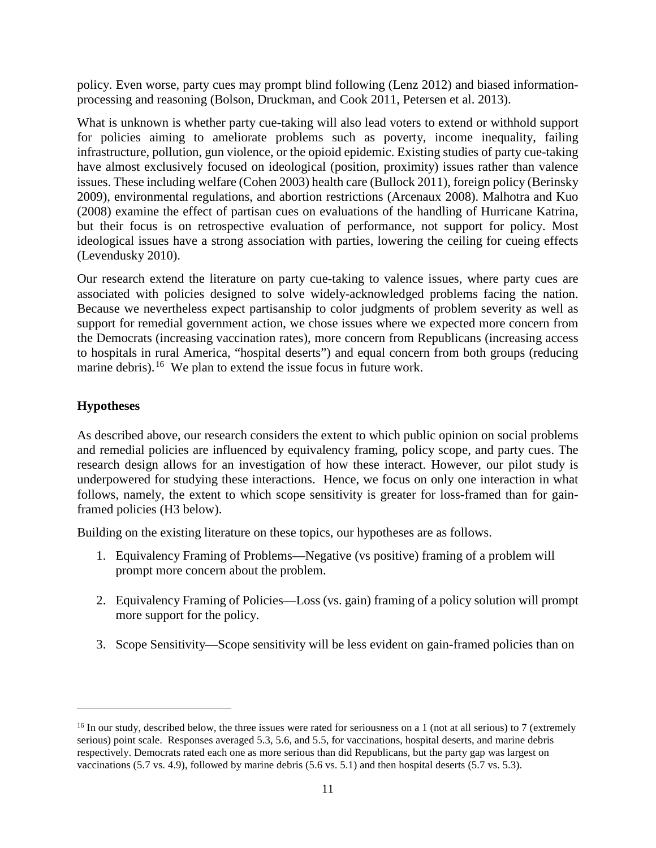policy. Even worse, party cues may prompt blind following (Lenz 2012) and biased informationprocessing and reasoning (Bolson, Druckman, and Cook 2011, Petersen et al. 2013).

What is unknown is whether party cue-taking will also lead voters to extend or withhold support for policies aiming to ameliorate problems such as poverty, income inequality, failing infrastructure, pollution, gun violence, or the opioid epidemic. Existing studies of party cue-taking have almost exclusively focused on ideological (position, proximity) issues rather than valence issues. These including welfare (Cohen 2003) health care (Bullock 2011), foreign policy (Berinsky 2009), environmental regulations, and abortion restrictions (Arcenaux 2008). Malhotra and Kuo (2008) examine the effect of partisan cues on evaluations of the handling of Hurricane Katrina, but their focus is on retrospective evaluation of performance, not support for policy. Most ideological issues have a strong association with parties, lowering the ceiling for cueing effects (Levendusky 2010).

Our research extend the literature on party cue-taking to valence issues, where party cues are associated with policies designed to solve widely-acknowledged problems facing the nation. Because we nevertheless expect partisanship to color judgments of problem severity as well as support for remedial government action, we chose issues where we expected more concern from the Democrats (increasing vaccination rates), more concern from Republicans (increasing access to hospitals in rural America, "hospital deserts") and equal concern from both groups (reducing marine debris).<sup>[16](#page-11-0)</sup> We plan to extend the issue focus in future work.

# **Hypotheses**

l

As described above, our research considers the extent to which public opinion on social problems and remedial policies are influenced by equivalency framing, policy scope, and party cues. The research design allows for an investigation of how these interact. However, our pilot study is underpowered for studying these interactions. Hence, we focus on only one interaction in what follows, namely, the extent to which scope sensitivity is greater for loss-framed than for gainframed policies (H3 below).

Building on the existing literature on these topics, our hypotheses are as follows.

- 1. Equivalency Framing of Problems—Negative (vs positive) framing of a problem will prompt more concern about the problem.
- 2. Equivalency Framing of Policies—Loss (vs. gain) framing of a policy solution will prompt more support for the policy.
- 3. Scope Sensitivity—Scope sensitivity will be less evident on gain-framed policies than on

<span id="page-11-0"></span> $16$  In our study, described below, the three issues were rated for seriousness on a 1 (not at all serious) to 7 (extremely serious) point scale. Responses averaged 5.3, 5.6, and 5.5, for vaccinations, hospital deserts, and marine debris respectively. Democrats rated each one as more serious than did Republicans, but the party gap was largest on vaccinations (5.7 vs. 4.9), followed by marine debris (5.6 vs. 5.1) and then hospital deserts (5.7 vs. 5.3).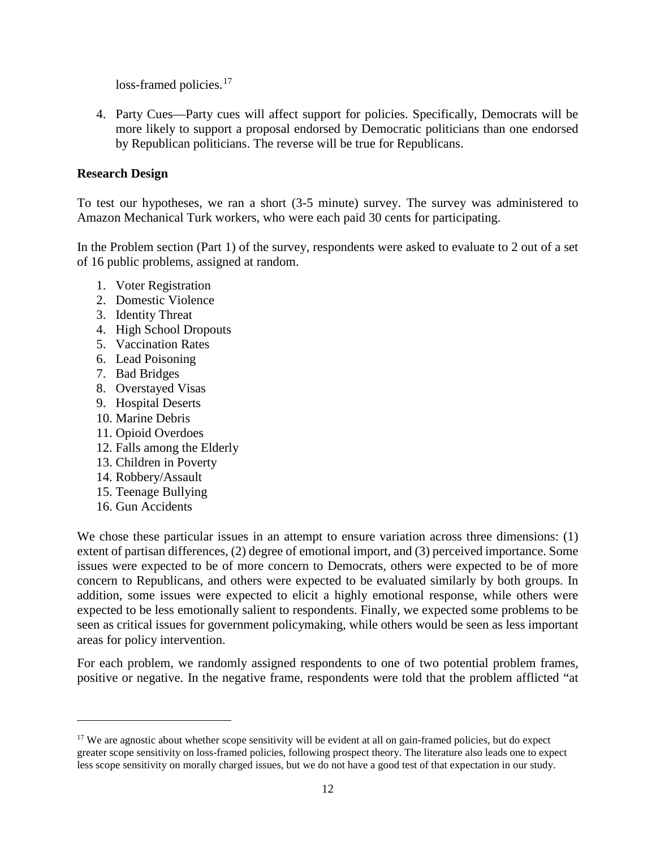loss-framed policies.<sup>[17](#page-12-0)</sup>

4. Party Cues—Party cues will affect support for policies. Specifically, Democrats will be more likely to support a proposal endorsed by Democratic politicians than one endorsed by Republican politicians. The reverse will be true for Republicans.

# **Research Design**

To test our hypotheses, we ran a short (3-5 minute) survey. The survey was administered to Amazon Mechanical Turk workers, who were each paid 30 cents for participating.

In the Problem section (Part 1) of the survey, respondents were asked to evaluate to 2 out of a set of 16 public problems, assigned at random.

- 1. Voter Registration
- 2. Domestic Violence
- 3. Identity Threat
- 4. High School Dropouts
- 5. Vaccination Rates
- 6. Lead Poisoning
- 7. Bad Bridges
- 8. Overstayed Visas
- 9. Hospital Deserts
- 10. Marine Debris
- 11. Opioid Overdoes
- 12. Falls among the Elderly
- 13. Children in Poverty
- 14. Robbery/Assault
- 15. Teenage Bullying
- 16. Gun Accidents

 $\overline{a}$ 

We chose these particular issues in an attempt to ensure variation across three dimensions: (1) extent of partisan differences, (2) degree of emotional import, and (3) perceived importance. Some issues were expected to be of more concern to Democrats, others were expected to be of more concern to Republicans, and others were expected to be evaluated similarly by both groups. In addition, some issues were expected to elicit a highly emotional response, while others were expected to be less emotionally salient to respondents. Finally, we expected some problems to be seen as critical issues for government policymaking, while others would be seen as less important areas for policy intervention.

For each problem, we randomly assigned respondents to one of two potential problem frames, positive or negative. In the negative frame, respondents were told that the problem afflicted "at

<span id="page-12-0"></span> $17$  We are agnostic about whether scope sensitivity will be evident at all on gain-framed policies, but do expect greater scope sensitivity on loss-framed policies, following prospect theory. The literature also leads one to expect less scope sensitivity on morally charged issues, but we do not have a good test of that expectation in our study.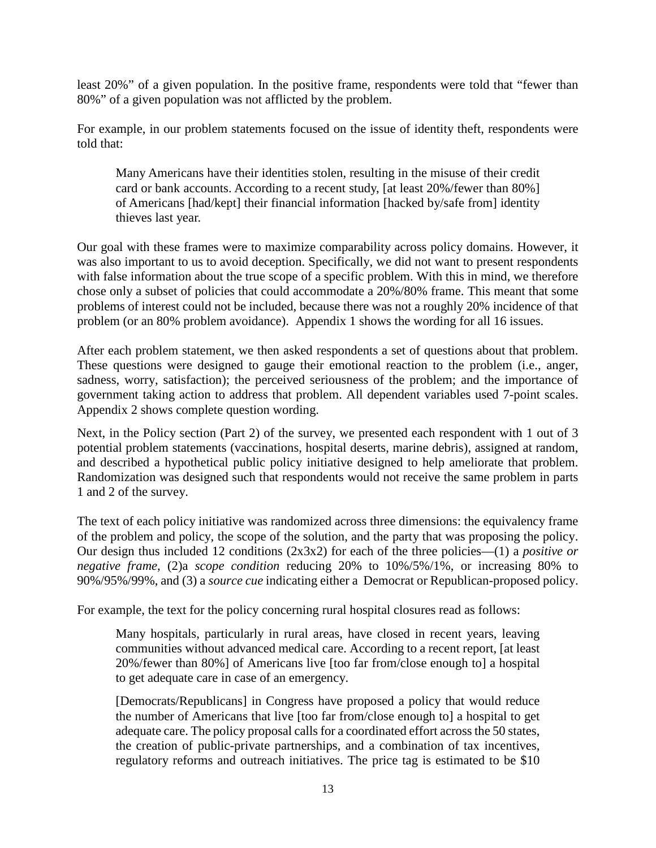least 20%" of a given population. In the positive frame, respondents were told that "fewer than 80%" of a given population was not afflicted by the problem.

For example, in our problem statements focused on the issue of identity theft, respondents were told that:

Many Americans have their identities stolen, resulting in the misuse of their credit card or bank accounts. According to a recent study, [at least 20%/fewer than 80%] of Americans [had/kept] their financial information [hacked by/safe from] identity thieves last year.

Our goal with these frames were to maximize comparability across policy domains. However, it was also important to us to avoid deception. Specifically, we did not want to present respondents with false information about the true scope of a specific problem. With this in mind, we therefore chose only a subset of policies that could accommodate a 20%/80% frame. This meant that some problems of interest could not be included, because there was not a roughly 20% incidence of that problem (or an 80% problem avoidance). Appendix 1 shows the wording for all 16 issues.

After each problem statement, we then asked respondents a set of questions about that problem. These questions were designed to gauge their emotional reaction to the problem (i.e., anger, sadness, worry, satisfaction); the perceived seriousness of the problem; and the importance of government taking action to address that problem. All dependent variables used 7-point scales. Appendix 2 shows complete question wording.

Next, in the Policy section (Part 2) of the survey, we presented each respondent with 1 out of 3 potential problem statements (vaccinations, hospital deserts, marine debris), assigned at random, and described a hypothetical public policy initiative designed to help ameliorate that problem. Randomization was designed such that respondents would not receive the same problem in parts 1 and 2 of the survey.

The text of each policy initiative was randomized across three dimensions: the equivalency frame of the problem and policy, the scope of the solution, and the party that was proposing the policy. Our design thus included 12 conditions (2x3x2) for each of the three policies—(1) a *positive or negative frame*, (2)a *scope condition* reducing 20% to 10%/5%/1%, or increasing 80% to 90%/95%/99%, and (3) a *source cue* indicating either a Democrat or Republican-proposed policy.

For example, the text for the policy concerning rural hospital closures read as follows:

Many hospitals, particularly in rural areas, have closed in recent years, leaving communities without advanced medical care. According to a recent report, [at least 20%/fewer than 80%] of Americans live [too far from/close enough to] a hospital to get adequate care in case of an emergency.

[Democrats/Republicans] in Congress have proposed a policy that would reduce the number of Americans that live [too far from/close enough to] a hospital to get adequate care. The policy proposal calls for a coordinated effort across the 50 states, the creation of public-private partnerships, and a combination of tax incentives, regulatory reforms and outreach initiatives. The price tag is estimated to be \$10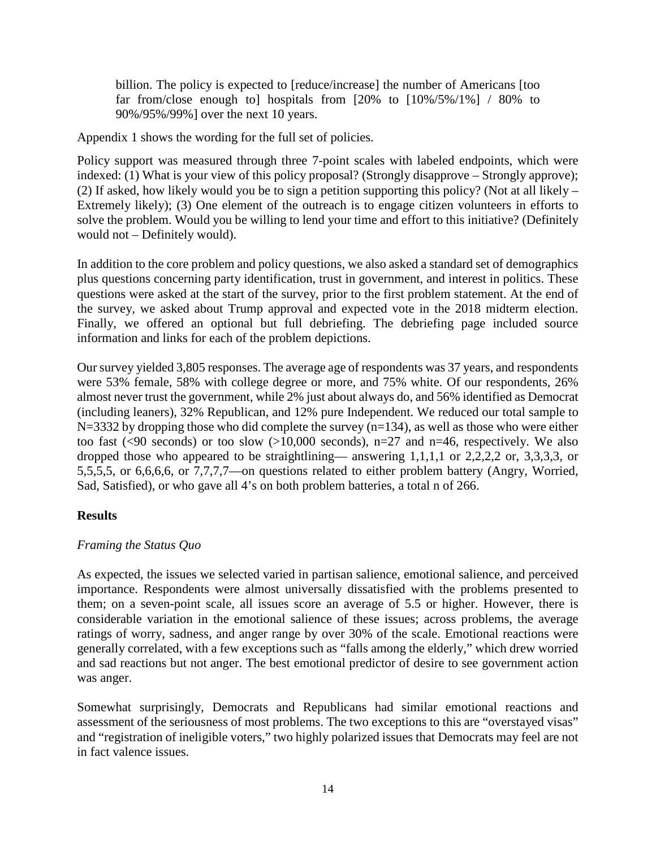billion. The policy is expected to [reduce/increase] the number of Americans [too far from/close enough to] hospitals from  $[20\%$  to  $[10\%/5\%/1\%]$  / 80% to 90%/95%/99%] over the next 10 years.

Appendix 1 shows the wording for the full set of policies.

Policy support was measured through three 7-point scales with labeled endpoints, which were indexed: (1) What is your view of this policy proposal? (Strongly disapprove – Strongly approve); (2) If asked, how likely would you be to sign a petition supporting this policy? (Not at all likely – Extremely likely); (3) One element of the outreach is to engage citizen volunteers in efforts to solve the problem. Would you be willing to lend your time and effort to this initiative? (Definitely would not – Definitely would).

In addition to the core problem and policy questions, we also asked a standard set of demographics plus questions concerning party identification, trust in government, and interest in politics. These questions were asked at the start of the survey, prior to the first problem statement. At the end of the survey, we asked about Trump approval and expected vote in the 2018 midterm election. Finally, we offered an optional but full debriefing. The debriefing page included source information and links for each of the problem depictions.

Our survey yielded 3,805 responses. The average age of respondents was 37 years, and respondents were 53% female, 58% with college degree or more, and 75% white. Of our respondents, 26% almost never trust the government, while 2% just about always do, and 56% identified as Democrat (including leaners), 32% Republican, and 12% pure Independent. We reduced our total sample to  $N=3332$  by dropping those who did complete the survey (n=134), as well as those who were either too fast (<90 seconds) or too slow (>10,000 seconds),  $n=27$  and  $n=46$ , respectively. We also dropped those who appeared to be straightlining— answering 1,1,1,1 or 2,2,2,2 or, 3,3,3,3, or 5,5,5,5, or 6,6,6,6, or 7,7,7,7—on questions related to either problem battery (Angry, Worried, Sad, Satisfied), or who gave all 4's on both problem batteries, a total n of 266.

# **Results**

# *Framing the Status Quo*

As expected, the issues we selected varied in partisan salience, emotional salience, and perceived importance. Respondents were almost universally dissatisfied with the problems presented to them; on a seven-point scale, all issues score an average of 5.5 or higher. However, there is considerable variation in the emotional salience of these issues; across problems, the average ratings of worry, sadness, and anger range by over 30% of the scale. Emotional reactions were generally correlated, with a few exceptions such as "falls among the elderly," which drew worried and sad reactions but not anger. The best emotional predictor of desire to see government action was anger.

Somewhat surprisingly, Democrats and Republicans had similar emotional reactions and assessment of the seriousness of most problems. The two exceptions to this are "overstayed visas" and "registration of ineligible voters," two highly polarized issues that Democrats may feel are not in fact valence issues.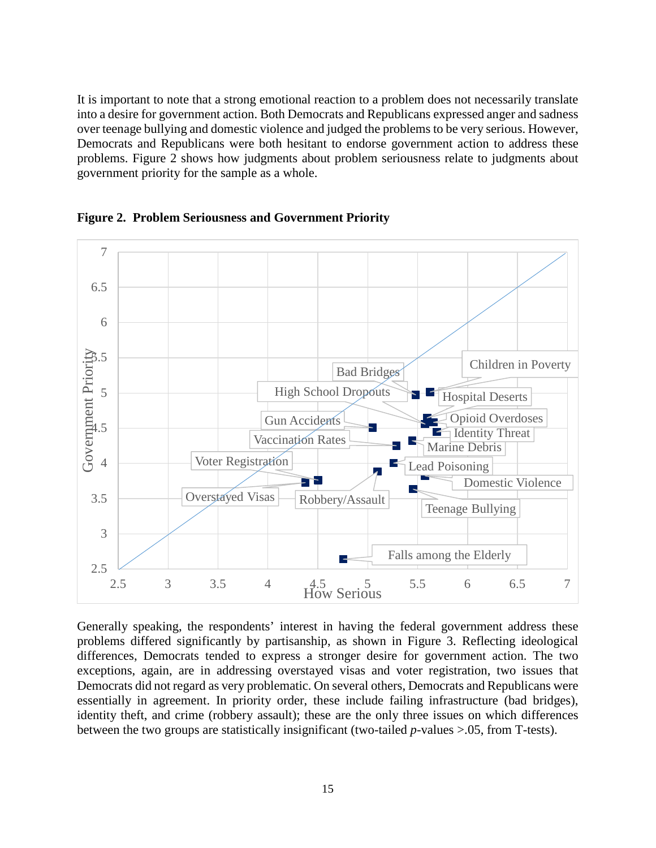It is important to note that a strong emotional reaction to a problem does not necessarily translate into a desire for government action. Both Democrats and Republicans expressed anger and sadness over teenage bullying and domestic violence and judged the problems to be very serious. However, Democrats and Republicans were both hesitant to endorse government action to address these problems. Figure 2 shows how judgments about problem seriousness relate to judgments about government priority for the sample as a whole.



**Figure 2. Problem Seriousness and Government Priority**

Generally speaking, the respondents' interest in having the federal government address these problems differed significantly by partisanship, as shown in Figure 3. Reflecting ideological differences, Democrats tended to express a stronger desire for government action. The two exceptions, again, are in addressing overstayed visas and voter registration, two issues that Democrats did not regard as very problematic. On several others, Democrats and Republicans were essentially in agreement. In priority order, these include failing infrastructure (bad bridges), identity theft, and crime (robbery assault); these are the only three issues on which differences between the two groups are statistically insignificant (two-tailed *p*-values >.05, from T-tests).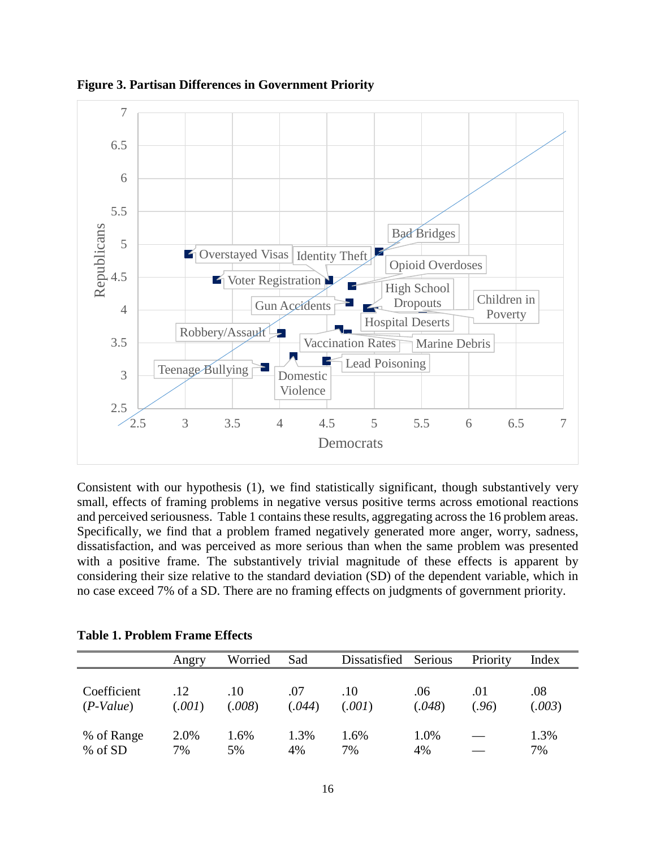

**Figure 3. Partisan Differences in Government Priority**

Consistent with our hypothesis (1), we find statistically significant, though substantively very small, effects of framing problems in negative versus positive terms across emotional reactions and perceived seriousness. Table 1 contains these results, aggregating across the 16 problem areas. Specifically, we find that a problem framed negatively generated more anger, worry, sadness, dissatisfaction, and was perceived as more serious than when the same problem was presented with a positive frame. The substantively trivial magnitude of these effects is apparent by considering their size relative to the standard deviation (SD) of the dependent variable, which in no case exceed 7% of a SD. There are no framing effects on judgments of government priority.

|             | Angry  | Worried | Sad    | Dissatisfied | Serious | Priority | Index  |
|-------------|--------|---------|--------|--------------|---------|----------|--------|
| Coefficient | 12     | .10     | .07    | .10          | .06     | .01      | .08    |
| $(P-Value)$ | (.001) | (.008)  | (.044) | (.001)       | (.048)  | (.96)    | (.003) |
| % of Range  | 2.0%   | 1.6%    | 1.3%   | 1.6%         | 1.0%    |          | 1.3%   |
| % of SD     | 7%     | 5%      | 4%     | 7%           | 4%      |          | 7%     |

**Table 1. Problem Frame Effects**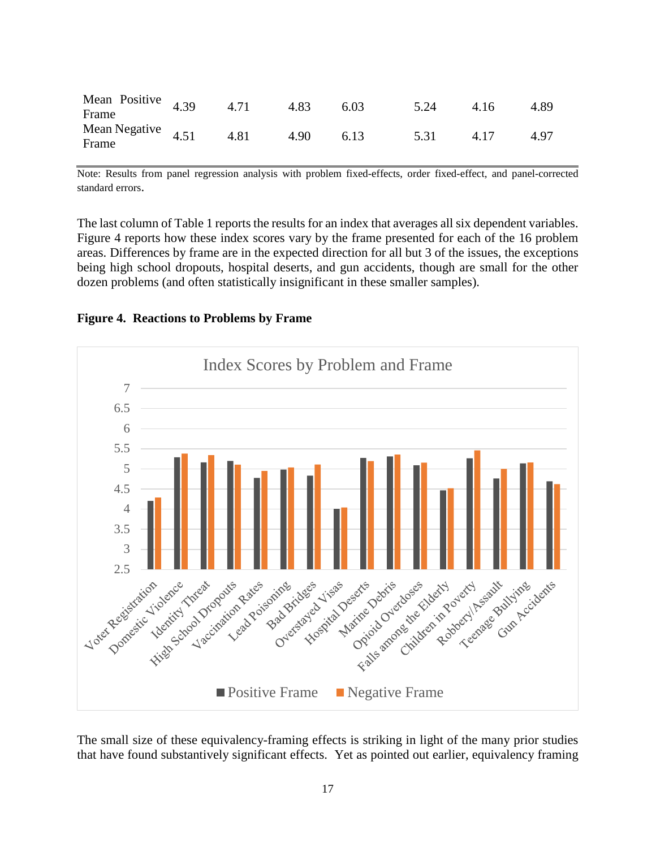| Mean Positive $4.39$<br>Frame     | $\sim$ 4.71 - | 4.83 | 6.03 | 5.24 4.16 | 4.89 |
|-----------------------------------|---------------|------|------|-----------|------|
| Mean Negative 4.51 4.81 4.90 6.13 |               |      |      | 5.31 4.17 | 4.97 |

Note: Results from panel regression analysis with problem fixed-effects, order fixed-effect, and panel-corrected standard errors.

The last column of Table 1 reports the results for an index that averages all six dependent variables. Figure 4 reports how these index scores vary by the frame presented for each of the 16 problem areas. Differences by frame are in the expected direction for all but 3 of the issues, the exceptions being high school dropouts, hospital deserts, and gun accidents, though are small for the other dozen problems (and often statistically insignificant in these smaller samples).

**Figure 4. Reactions to Problems by Frame**



The small size of these equivalency-framing effects is striking in light of the many prior studies that have found substantively significant effects. Yet as pointed out earlier, equivalency framing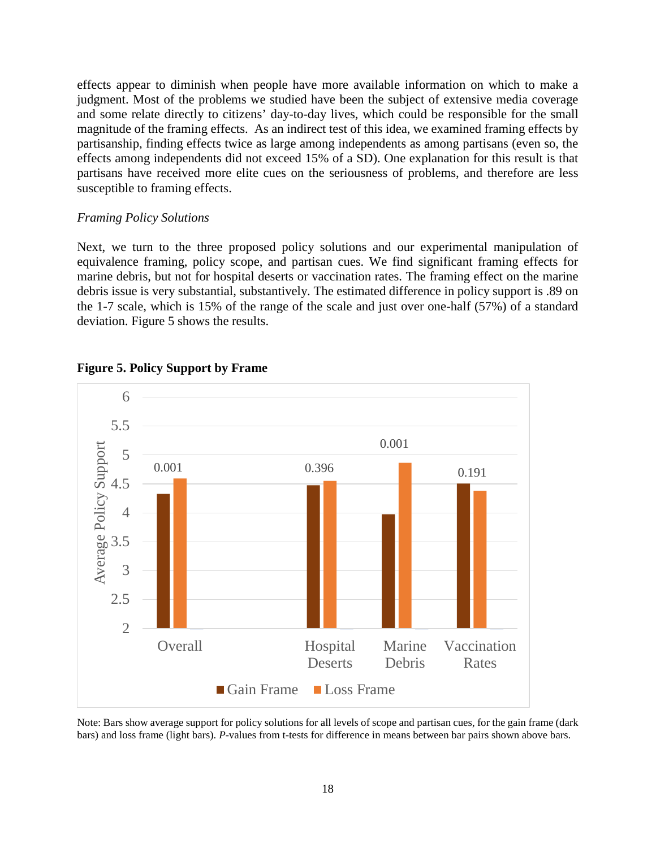effects appear to diminish when people have more available information on which to make a judgment. Most of the problems we studied have been the subject of extensive media coverage and some relate directly to citizens' day-to-day lives, which could be responsible for the small magnitude of the framing effects. As an indirect test of this idea, we examined framing effects by partisanship, finding effects twice as large among independents as among partisans (even so, the effects among independents did not exceed 15% of a SD). One explanation for this result is that partisans have received more elite cues on the seriousness of problems, and therefore are less susceptible to framing effects.

#### *Framing Policy Solutions*

Next, we turn to the three proposed policy solutions and our experimental manipulation of equivalence framing, policy scope, and partisan cues. We find significant framing effects for marine debris, but not for hospital deserts or vaccination rates. The framing effect on the marine debris issue is very substantial, substantively. The estimated difference in policy support is .89 on the 1-7 scale, which is 15% of the range of the scale and just over one-half (57%) of a standard deviation. Figure 5 shows the results.



#### **Figure 5. Policy Support by Frame**

Note: Bars show average support for policy solutions for all levels of scope and partisan cues, for the gain frame (dark bars) and loss frame (light bars). *P*-values from t-tests for difference in means between bar pairs shown above bars.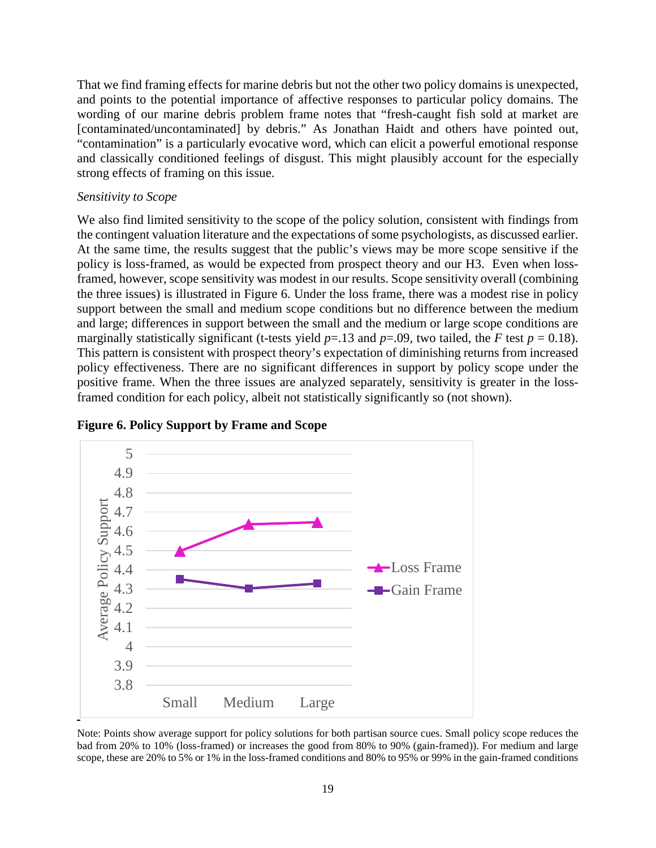That we find framing effects for marine debris but not the other two policy domains is unexpected, and points to the potential importance of affective responses to particular policy domains. The wording of our marine debris problem frame notes that "fresh-caught fish sold at market are [contaminated/uncontaminated] by debris." As Jonathan Haidt and others have pointed out, "contamination" is a particularly evocative word, which can elicit a powerful emotional response and classically conditioned feelings of disgust. This might plausibly account for the especially strong effects of framing on this issue.

#### *Sensitivity to Scope*

We also find limited sensitivity to the scope of the policy solution, consistent with findings from the contingent valuation literature and the expectations of some psychologists, as discussed earlier. At the same time, the results suggest that the public's views may be more scope sensitive if the policy is loss-framed, as would be expected from prospect theory and our H3. Even when lossframed, however, scope sensitivity was modest in our results. Scope sensitivity overall (combining the three issues) is illustrated in Figure 6. Under the loss frame, there was a modest rise in policy support between the small and medium scope conditions but no difference between the medium and large; differences in support between the small and the medium or large scope conditions are marginally statistically significant (t-tests yield  $p=13$  and  $p=0.09$ , two tailed, the *F* test  $p=0.18$ ). This pattern is consistent with prospect theory's expectation of diminishing returns from increased policy effectiveness. There are no significant differences in support by policy scope under the positive frame. When the three issues are analyzed separately, sensitivity is greater in the lossframed condition for each policy, albeit not statistically significantly so (not shown).





Note: Points show average support for policy solutions for both partisan source cues. Small policy scope reduces the bad from 20% to 10% (loss-framed) or increases the good from 80% to 90% (gain-framed)). For medium and large scope, these are 20% to 5% or 1% in the loss-framed conditions and 80% to 95% or 99% in the gain-framed conditions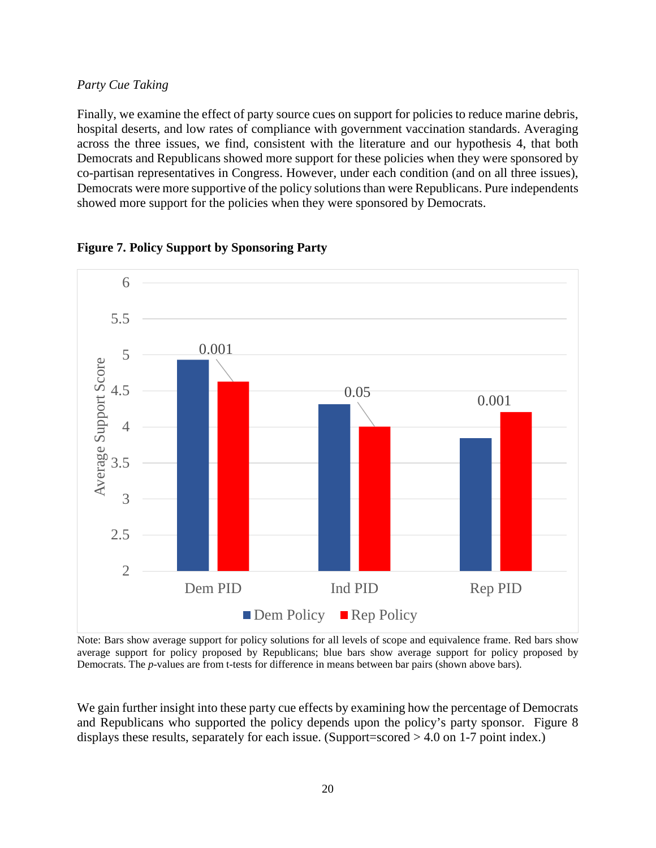### *Party Cue Taking*

Finally, we examine the effect of party source cues on support for policies to reduce marine debris, hospital deserts, and low rates of compliance with government vaccination standards. Averaging across the three issues, we find, consistent with the literature and our hypothesis 4, that both Democrats and Republicans showed more support for these policies when they were sponsored by co-partisan representatives in Congress. However, under each condition (and on all three issues), Democrats were more supportive of the policy solutions than were Republicans. Pure independents showed more support for the policies when they were sponsored by Democrats.



**Figure 7. Policy Support by Sponsoring Party**

Note: Bars show average support for policy solutions for all levels of scope and equivalence frame. Red bars show average support for policy proposed by Republicans; blue bars show average support for policy proposed by Democrats. The *p*-values are from t-tests for difference in means between bar pairs (shown above bars).

We gain further insight into these party cue effects by examining how the percentage of Democrats and Republicans who supported the policy depends upon the policy's party sponsor. Figure 8 displays these results, separately for each issue. (Support=scored > 4.0 on 1-7 point index.)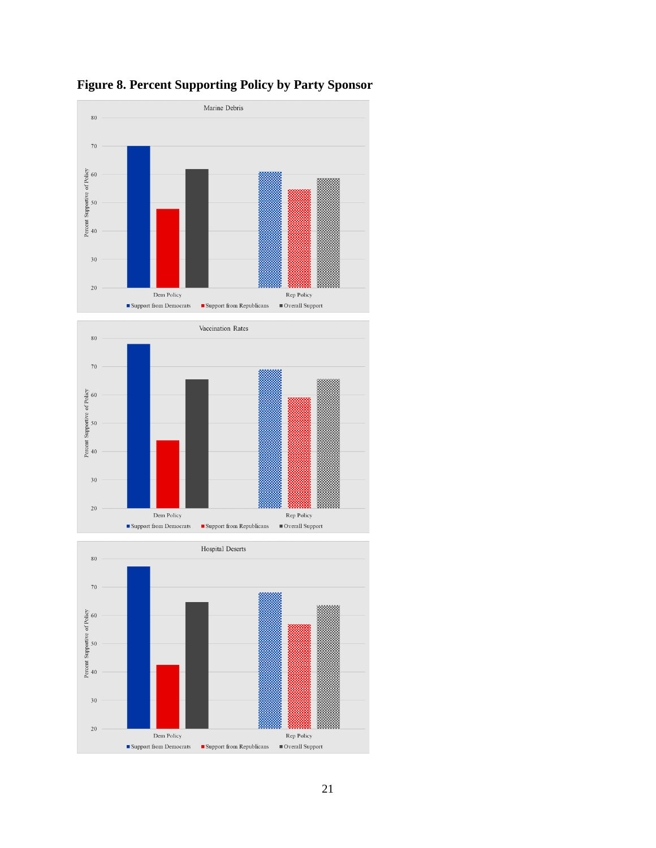

**Figure 8. Percent Supporting Policy by Party Sponsor**



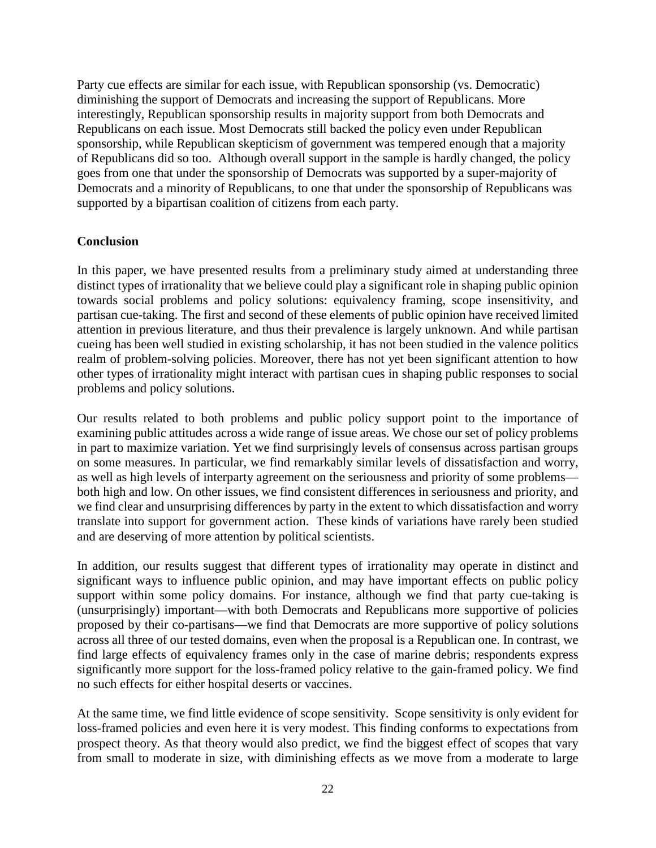Party cue effects are similar for each issue, with Republican sponsorship (vs. Democratic) diminishing the support of Democrats and increasing the support of Republicans. More interestingly, Republican sponsorship results in majority support from both Democrats and Republicans on each issue. Most Democrats still backed the policy even under Republican sponsorship, while Republican skepticism of government was tempered enough that a majority of Republicans did so too. Although overall support in the sample is hardly changed, the policy goes from one that under the sponsorship of Democrats was supported by a super-majority of Democrats and a minority of Republicans, to one that under the sponsorship of Republicans was supported by a bipartisan coalition of citizens from each party.

# **Conclusion**

In this paper, we have presented results from a preliminary study aimed at understanding three distinct types of irrationality that we believe could play a significant role in shaping public opinion towards social problems and policy solutions: equivalency framing, scope insensitivity, and partisan cue-taking. The first and second of these elements of public opinion have received limited attention in previous literature, and thus their prevalence is largely unknown. And while partisan cueing has been well studied in existing scholarship, it has not been studied in the valence politics realm of problem-solving policies. Moreover, there has not yet been significant attention to how other types of irrationality might interact with partisan cues in shaping public responses to social problems and policy solutions.

Our results related to both problems and public policy support point to the importance of examining public attitudes across a wide range of issue areas. We chose our set of policy problems in part to maximize variation. Yet we find surprisingly levels of consensus across partisan groups on some measures. In particular, we find remarkably similar levels of dissatisfaction and worry, as well as high levels of interparty agreement on the seriousness and priority of some problems both high and low. On other issues, we find consistent differences in seriousness and priority, and we find clear and unsurprising differences by party in the extent to which dissatisfaction and worry translate into support for government action. These kinds of variations have rarely been studied and are deserving of more attention by political scientists.

In addition, our results suggest that different types of irrationality may operate in distinct and significant ways to influence public opinion, and may have important effects on public policy support within some policy domains. For instance, although we find that party cue-taking is (unsurprisingly) important—with both Democrats and Republicans more supportive of policies proposed by their co-partisans—we find that Democrats are more supportive of policy solutions across all three of our tested domains, even when the proposal is a Republican one. In contrast, we find large effects of equivalency frames only in the case of marine debris; respondents express significantly more support for the loss-framed policy relative to the gain-framed policy. We find no such effects for either hospital deserts or vaccines.

At the same time, we find little evidence of scope sensitivity. Scope sensitivity is only evident for loss-framed policies and even here it is very modest. This finding conforms to expectations from prospect theory. As that theory would also predict, we find the biggest effect of scopes that vary from small to moderate in size, with diminishing effects as we move from a moderate to large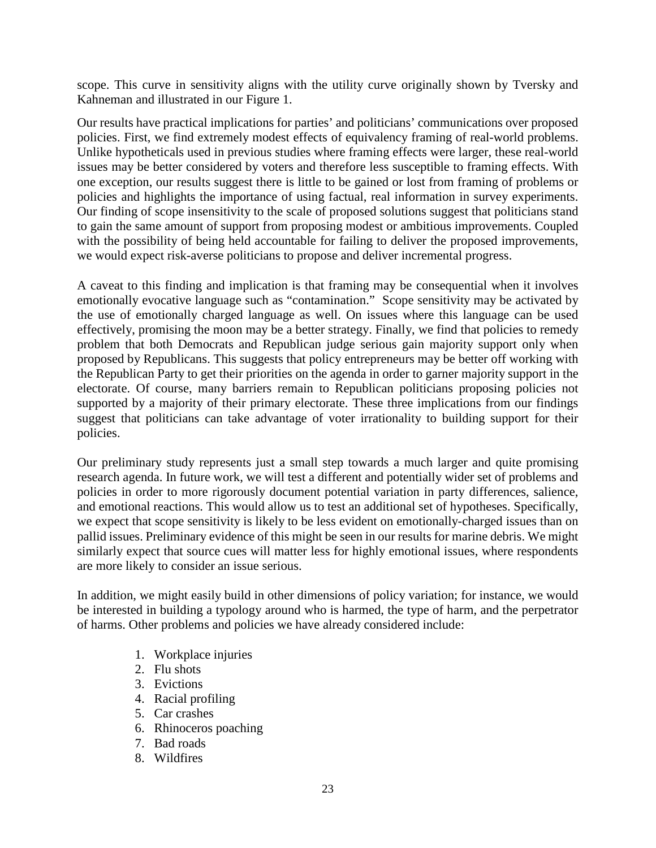scope. This curve in sensitivity aligns with the utility curve originally shown by Tversky and Kahneman and illustrated in our Figure 1.

Our results have practical implications for parties' and politicians' communications over proposed policies. First, we find extremely modest effects of equivalency framing of real-world problems. Unlike hypotheticals used in previous studies where framing effects were larger, these real-world issues may be better considered by voters and therefore less susceptible to framing effects. With one exception, our results suggest there is little to be gained or lost from framing of problems or policies and highlights the importance of using factual, real information in survey experiments. Our finding of scope insensitivity to the scale of proposed solutions suggest that politicians stand to gain the same amount of support from proposing modest or ambitious improvements. Coupled with the possibility of being held accountable for failing to deliver the proposed improvements, we would expect risk-averse politicians to propose and deliver incremental progress.

A caveat to this finding and implication is that framing may be consequential when it involves emotionally evocative language such as "contamination." Scope sensitivity may be activated by the use of emotionally charged language as well. On issues where this language can be used effectively, promising the moon may be a better strategy. Finally, we find that policies to remedy problem that both Democrats and Republican judge serious gain majority support only when proposed by Republicans. This suggests that policy entrepreneurs may be better off working with the Republican Party to get their priorities on the agenda in order to garner majority support in the electorate. Of course, many barriers remain to Republican politicians proposing policies not supported by a majority of their primary electorate. These three implications from our findings suggest that politicians can take advantage of voter irrationality to building support for their policies.

Our preliminary study represents just a small step towards a much larger and quite promising research agenda. In future work, we will test a different and potentially wider set of problems and policies in order to more rigorously document potential variation in party differences, salience, and emotional reactions. This would allow us to test an additional set of hypotheses. Specifically, we expect that scope sensitivity is likely to be less evident on emotionally-charged issues than on pallid issues. Preliminary evidence of this might be seen in our results for marine debris. We might similarly expect that source cues will matter less for highly emotional issues, where respondents are more likely to consider an issue serious.

In addition, we might easily build in other dimensions of policy variation; for instance, we would be interested in building a typology around who is harmed, the type of harm, and the perpetrator of harms. Other problems and policies we have already considered include:

- 1. Workplace injuries
- 2. Flu shots
- 3. Evictions
- 4. Racial profiling
- 5. Car crashes
- 6. Rhinoceros poaching
- 7. Bad roads
- 8. Wildfires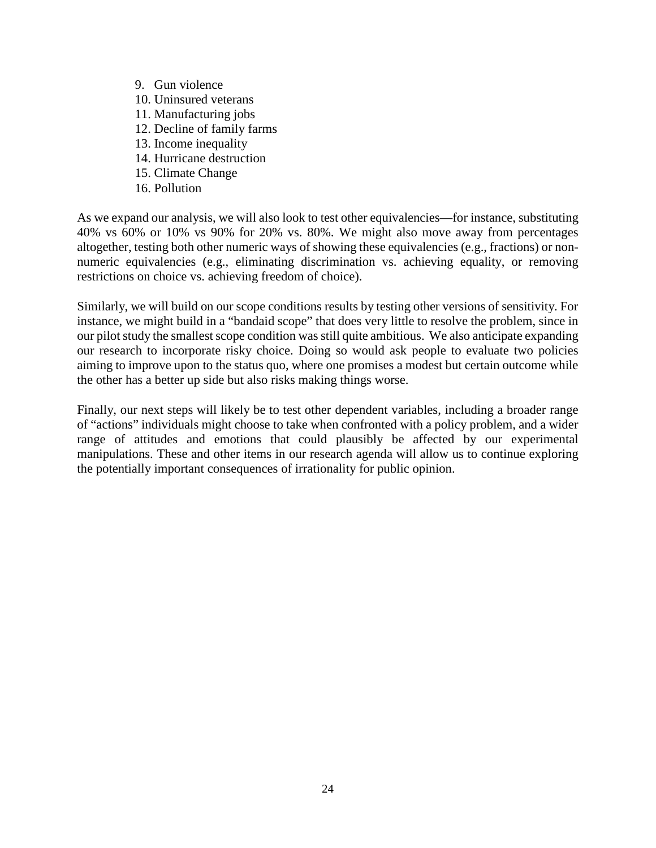- 9. Gun violence
- 10. Uninsured veterans
- 11. Manufacturing jobs
- 12. Decline of family farms
- 13. Income inequality
- 14. Hurricane destruction
- 15. Climate Change
- 16. Pollution

As we expand our analysis, we will also look to test other equivalencies—for instance, substituting 40% vs 60% or 10% vs 90% for 20% vs. 80%. We might also move away from percentages altogether, testing both other numeric ways of showing these equivalencies (e.g., fractions) or nonnumeric equivalencies (e.g., eliminating discrimination vs. achieving equality, or removing restrictions on choice vs. achieving freedom of choice).

Similarly, we will build on our scope conditions results by testing other versions of sensitivity. For instance, we might build in a "bandaid scope" that does very little to resolve the problem, since in our pilot study the smallest scope condition was still quite ambitious. We also anticipate expanding our research to incorporate risky choice. Doing so would ask people to evaluate two policies aiming to improve upon to the status quo, where one promises a modest but certain outcome while the other has a better up side but also risks making things worse.

Finally, our next steps will likely be to test other dependent variables, including a broader range of "actions" individuals might choose to take when confronted with a policy problem, and a wider range of attitudes and emotions that could plausibly be affected by our experimental manipulations. These and other items in our research agenda will allow us to continue exploring the potentially important consequences of irrationality for public opinion.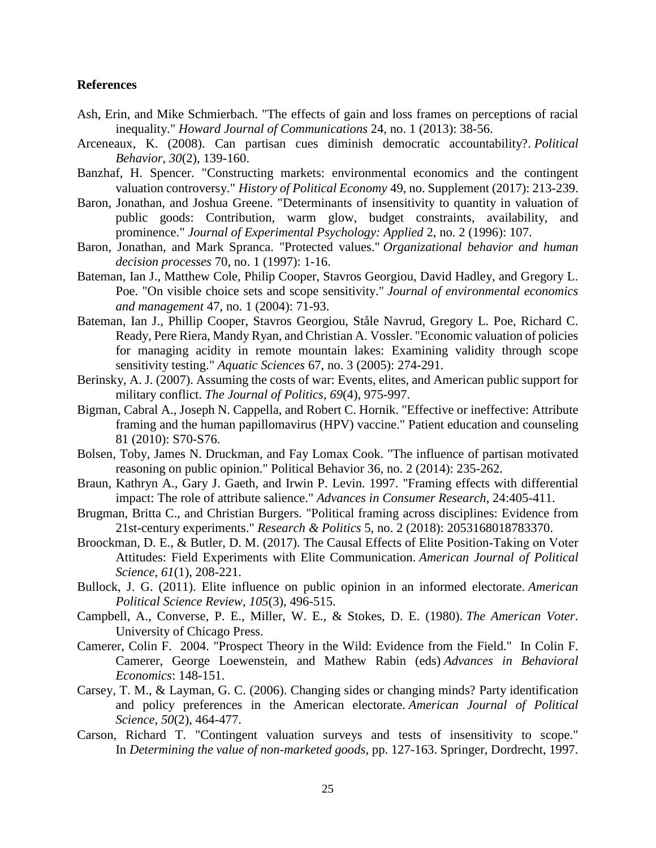#### **References**

- Ash, Erin, and Mike Schmierbach. "The effects of gain and loss frames on perceptions of racial inequality." *Howard Journal of Communications* 24, no. 1 (2013): 38-56.
- Arceneaux, K. (2008). Can partisan cues diminish democratic accountability?. *Political Behavior*, *30*(2), 139-160.
- Banzhaf, H. Spencer. "Constructing markets: environmental economics and the contingent valuation controversy." *History of Political Economy* 49, no. Supplement (2017): 213-239.
- Baron, Jonathan, and Joshua Greene. "Determinants of insensitivity to quantity in valuation of public goods: Contribution, warm glow, budget constraints, availability, and prominence." *Journal of Experimental Psychology: Applied* 2, no. 2 (1996): 107.
- Baron, Jonathan, and Mark Spranca. "Protected values." *Organizational behavior and human decision processes* 70, no. 1 (1997): 1-16.
- Bateman, Ian J., Matthew Cole, Philip Cooper, Stavros Georgiou, David Hadley, and Gregory L. Poe. "On visible choice sets and scope sensitivity." *Journal of environmental economics and management* 47, no. 1 (2004): 71-93.
- Bateman, Ian J., Phillip Cooper, Stavros Georgiou, Ståle Navrud, Gregory L. Poe, Richard C. Ready, Pere Riera, Mandy Ryan, and Christian A. Vossler. "Economic valuation of policies for managing acidity in remote mountain lakes: Examining validity through scope sensitivity testing." *Aquatic Sciences* 67, no. 3 (2005): 274-291.
- Berinsky, A. J. (2007). Assuming the costs of war: Events, elites, and American public support for military conflict. *The Journal of Politics*, *69*(4), 975-997.
- Bigman, Cabral A., Joseph N. Cappella, and Robert C. Hornik. "Effective or ineffective: Attribute framing and the human papillomavirus (HPV) vaccine." Patient education and counseling 81 (2010): S70-S76.
- Bolsen, Toby, James N. Druckman, and Fay Lomax Cook. "The influence of partisan motivated reasoning on public opinion." Political Behavior 36, no. 2 (2014): 235-262.
- Braun, Kathryn A., Gary J. Gaeth, and Irwin P. Levin. 1997. "Framing effects with differential impact: The role of attribute salience." *Advances in Consumer Research*, 24:405-411.
- Brugman, Britta C., and Christian Burgers. "Political framing across disciplines: Evidence from 21st-century experiments." *Research & Politics* 5, no. 2 (2018): 2053168018783370.
- Broockman, D. E., & Butler, D. M. (2017). The Causal Effects of Elite Position-Taking on Voter Attitudes: Field Experiments with Elite Communication. *American Journal of Political Science*, *61*(1), 208-221.
- Bullock, J. G. (2011). Elite influence on public opinion in an informed electorate. *American Political Science Review*, *105*(3), 496-515.
- Campbell, A., Converse, P. E., Miller, W. E., & Stokes, D. E. (1980). *The American Voter*. University of Chicago Press.
- Camerer, Colin F. 2004. "Prospect Theory in the Wild: Evidence from the Field." In Colin F. Camerer, George Loewenstein, and Mathew Rabin (eds) *Advances in Behavioral Economics*: 148-151.
- Carsey, T. M., & Layman, G. C. (2006). Changing sides or changing minds? Party identification and policy preferences in the American electorate. *American Journal of Political Science*, *50*(2), 464-477.
- Carson, Richard T. "Contingent valuation surveys and tests of insensitivity to scope." In *Determining the value of non-marketed goods*, pp. 127-163. Springer, Dordrecht, 1997.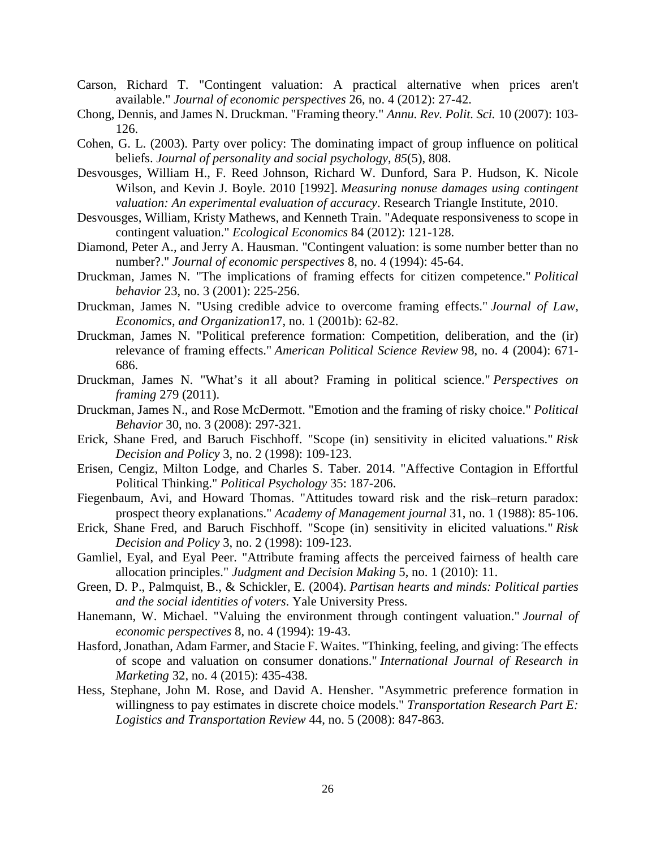- Carson, Richard T. "Contingent valuation: A practical alternative when prices aren't available." *Journal of economic perspectives* 26, no. 4 (2012): 27-42.
- Chong, Dennis, and James N. Druckman. "Framing theory." *Annu. Rev. Polit. Sci.* 10 (2007): 103- 126.
- Cohen, G. L. (2003). Party over policy: The dominating impact of group influence on political beliefs. *Journal of personality and social psychology*, *85*(5), 808.
- Desvousges, William H., F. Reed Johnson, Richard W. Dunford, Sara P. Hudson, K. Nicole Wilson, and Kevin J. Boyle. 2010 [1992]. *Measuring nonuse damages using contingent valuation: An experimental evaluation of accuracy*. Research Triangle Institute, 2010.
- Desvousges, William, Kristy Mathews, and Kenneth Train. "Adequate responsiveness to scope in contingent valuation." *Ecological Economics* 84 (2012): 121-128.
- Diamond, Peter A., and Jerry A. Hausman. "Contingent valuation: is some number better than no number?." *Journal of economic perspectives* 8, no. 4 (1994): 45-64.
- Druckman, James N. "The implications of framing effects for citizen competence." *Political behavior* 23, no. 3 (2001): 225-256.
- Druckman, James N. "Using credible advice to overcome framing effects." *Journal of Law, Economics, and Organization*17, no. 1 (2001b): 62-82.
- Druckman, James N. "Political preference formation: Competition, deliberation, and the (ir) relevance of framing effects." *American Political Science Review* 98, no. 4 (2004): 671- 686.
- Druckman, James N. "What's it all about? Framing in political science." *Perspectives on framing* 279 (2011).
- Druckman, James N., and Rose McDermott. "Emotion and the framing of risky choice." *Political Behavior* 30, no. 3 (2008): 297-321.
- Erick, Shane Fred, and Baruch Fischhoff. "Scope (in) sensitivity in elicited valuations." *Risk Decision and Policy* 3, no. 2 (1998): 109-123.
- Erisen, Cengiz, Milton Lodge, and Charles S. Taber. 2014. "Affective Contagion in Effortful Political Thinking." *Political Psychology* 35: 187-206.
- Fiegenbaum, Avi, and Howard Thomas. "Attitudes toward risk and the risk–return paradox: prospect theory explanations." *Academy of Management journal* 31, no. 1 (1988): 85-106.
- Erick, Shane Fred, and Baruch Fischhoff. "Scope (in) sensitivity in elicited valuations." *Risk Decision and Policy* 3, no. 2 (1998): 109-123.
- Gamliel, Eyal, and Eyal Peer. "Attribute framing affects the perceived fairness of health care allocation principles." *Judgment and Decision Making* 5, no. 1 (2010): 11.
- Green, D. P., Palmquist, B., & Schickler, E. (2004). *Partisan hearts and minds: Political parties and the social identities of voters*. Yale University Press.
- Hanemann, W. Michael. "Valuing the environment through contingent valuation." *Journal of economic perspectives* 8, no. 4 (1994): 19-43.
- Hasford, Jonathan, Adam Farmer, and Stacie F. Waites. "Thinking, feeling, and giving: The effects of scope and valuation on consumer donations." *International Journal of Research in Marketing* 32, no. 4 (2015): 435-438.
- Hess, Stephane, John M. Rose, and David A. Hensher. "Asymmetric preference formation in willingness to pay estimates in discrete choice models." *Transportation Research Part E: Logistics and Transportation Review* 44, no. 5 (2008): 847-863.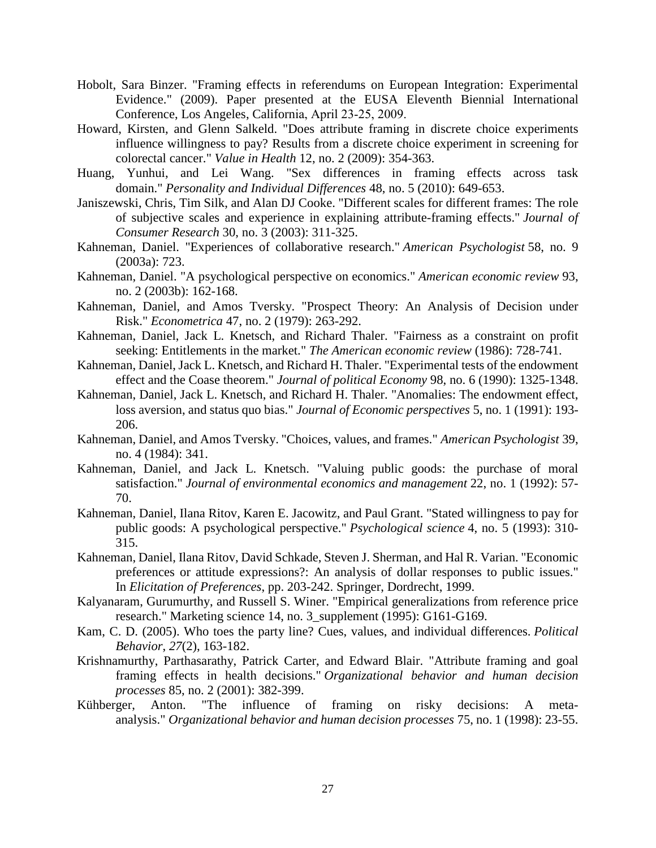- Hobolt, Sara Binzer. "Framing effects in referendums on European Integration: Experimental Evidence." (2009). Paper presented at the EUSA Eleventh Biennial International Conference, Los Angeles, California, April 23‐25, 2009.
- Howard, Kirsten, and Glenn Salkeld. "Does attribute framing in discrete choice experiments influence willingness to pay? Results from a discrete choice experiment in screening for colorectal cancer." *Value in Health* 12, no. 2 (2009): 354-363.
- Huang, Yunhui, and Lei Wang. "Sex differences in framing effects across task domain." *Personality and Individual Differences* 48, no. 5 (2010): 649-653.
- Janiszewski, Chris, Tim Silk, and Alan DJ Cooke. "Different scales for different frames: The role of subjective scales and experience in explaining attribute-framing effects." *Journal of Consumer Research* 30, no. 3 (2003): 311-325.
- Kahneman, Daniel. "Experiences of collaborative research." *American Psychologist* 58, no. 9 (2003a): 723.
- Kahneman, Daniel. "A psychological perspective on economics." *American economic review* 93, no. 2 (2003b): 162-168.
- Kahneman, Daniel, and Amos Tversky. "Prospect Theory: An Analysis of Decision under Risk." *Econometrica* 47, no. 2 (1979): 263-292.
- Kahneman, Daniel, Jack L. Knetsch, and Richard Thaler. "Fairness as a constraint on profit seeking: Entitlements in the market." *The American economic review* (1986): 728-741.
- Kahneman, Daniel, Jack L. Knetsch, and Richard H. Thaler. "Experimental tests of the endowment effect and the Coase theorem." *Journal of political Economy* 98, no. 6 (1990): 1325-1348.
- Kahneman, Daniel, Jack L. Knetsch, and Richard H. Thaler. "Anomalies: The endowment effect, loss aversion, and status quo bias." *Journal of Economic perspectives* 5, no. 1 (1991): 193- 206.
- Kahneman, Daniel, and Amos Tversky. "Choices, values, and frames." *American Psychologist* 39, no. 4 (1984): 341.
- Kahneman, Daniel, and Jack L. Knetsch. "Valuing public goods: the purchase of moral satisfaction." *Journal of environmental economics and management* 22, no. 1 (1992): 57- 70.
- Kahneman, Daniel, Ilana Ritov, Karen E. Jacowitz, and Paul Grant. "Stated willingness to pay for public goods: A psychological perspective." *Psychological science* 4, no. 5 (1993): 310- 315.
- Kahneman, Daniel, Ilana Ritov, David Schkade, Steven J. Sherman, and Hal R. Varian. "Economic preferences or attitude expressions?: An analysis of dollar responses to public issues." In *Elicitation of Preferences*, pp. 203-242. Springer, Dordrecht, 1999.
- Kalyanaram, Gurumurthy, and Russell S. Winer. "Empirical generalizations from reference price research." Marketing science 14, no. 3\_supplement (1995): G161-G169.
- Kam, C. D. (2005). Who toes the party line? Cues, values, and individual differences. *Political Behavior*, *27*(2), 163-182.
- Krishnamurthy, Parthasarathy, Patrick Carter, and Edward Blair. "Attribute framing and goal framing effects in health decisions." *Organizational behavior and human decision processes* 85, no. 2 (2001): 382-399.
- Kühberger, Anton. "The influence of framing on risky decisions: A metaanalysis." *Organizational behavior and human decision processes* 75, no. 1 (1998): 23-55.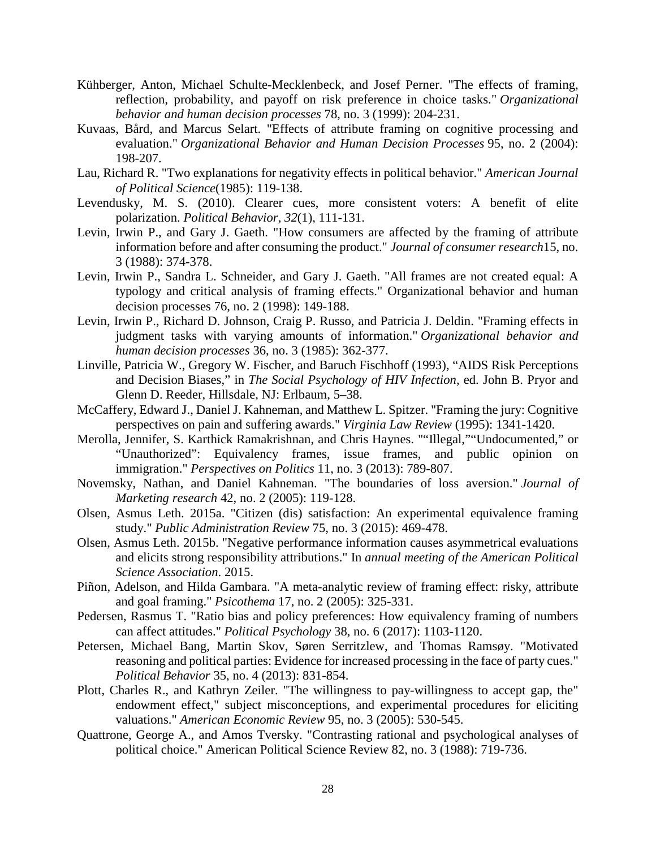- Kühberger, Anton, Michael Schulte-Mecklenbeck, and Josef Perner. "The effects of framing, reflection, probability, and payoff on risk preference in choice tasks." *Organizational behavior and human decision processes* 78, no. 3 (1999): 204-231.
- Kuvaas, Bård, and Marcus Selart. "Effects of attribute framing on cognitive processing and evaluation." *Organizational Behavior and Human Decision Processes* 95, no. 2 (2004): 198-207.
- Lau, Richard R. "Two explanations for negativity effects in political behavior." *American Journal of Political Science*(1985): 119-138.
- Levendusky, M. S. (2010). Clearer cues, more consistent voters: A benefit of elite polarization. *Political Behavior*, *32*(1), 111-131.
- Levin, Irwin P., and Gary J. Gaeth. "How consumers are affected by the framing of attribute information before and after consuming the product." *Journal of consumer research*15, no. 3 (1988): 374-378.
- Levin, Irwin P., Sandra L. Schneider, and Gary J. Gaeth. "All frames are not created equal: A typology and critical analysis of framing effects." Organizational behavior and human decision processes 76, no. 2 (1998): 149-188.
- Levin, Irwin P., Richard D. Johnson, Craig P. Russo, and Patricia J. Deldin. "Framing effects in judgment tasks with varying amounts of information." *Organizational behavior and human decision processes* 36, no. 3 (1985): 362-377.
- Linville, Patricia W., Gregory W. Fischer, and Baruch Fischhoff (1993), "AIDS Risk Perceptions and Decision Biases," in *The Social Psychology of HIV Infection,* ed. John B. Pryor and Glenn D. Reeder, Hillsdale, NJ: Erlbaum, 5–38.
- McCaffery, Edward J., Daniel J. Kahneman, and Matthew L. Spitzer. "Framing the jury: Cognitive perspectives on pain and suffering awards." *Virginia Law Review* (1995): 1341-1420.
- Merolla, Jennifer, S. Karthick Ramakrishnan, and Chris Haynes. ""Illegal,""Undocumented," or "Unauthorized": Equivalency frames, issue frames, and public opinion on immigration." *Perspectives on Politics* 11, no. 3 (2013): 789-807.
- Novemsky, Nathan, and Daniel Kahneman. "The boundaries of loss aversion." *Journal of Marketing research* 42, no. 2 (2005): 119-128.
- Olsen, Asmus Leth. 2015a. "Citizen (dis) satisfaction: An experimental equivalence framing study." *Public Administration Review* 75, no. 3 (2015): 469-478.
- Olsen, Asmus Leth. 2015b. "Negative performance information causes asymmetrical evaluations and elicits strong responsibility attributions." In *annual meeting of the American Political Science Association*. 2015.
- Piñon, Adelson, and Hilda Gambara. "A meta-analytic review of framing effect: risky, attribute and goal framing." *Psicothema* 17, no. 2 (2005): 325-331.
- Pedersen, Rasmus T. "Ratio bias and policy preferences: How equivalency framing of numbers can affect attitudes." *Political Psychology* 38, no. 6 (2017): 1103-1120.
- Petersen, Michael Bang, Martin Skov, Søren Serritzlew, and Thomas Ramsøy. "Motivated reasoning and political parties: Evidence for increased processing in the face of party cues." *Political Behavior* 35, no. 4 (2013): 831-854.
- Plott, Charles R., and Kathryn Zeiler. "The willingness to pay-willingness to accept gap, the" endowment effect," subject misconceptions, and experimental procedures for eliciting valuations." *American Economic Review* 95, no. 3 (2005): 530-545.
- Quattrone, George A., and Amos Tversky. "Contrasting rational and psychological analyses of political choice." American Political Science Review 82, no. 3 (1988): 719-736.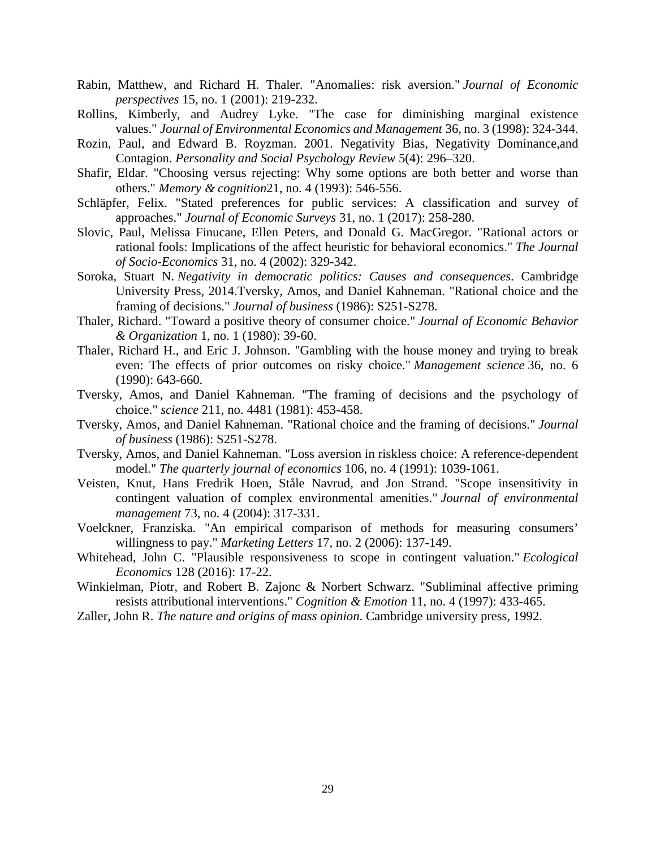- Rabin, Matthew, and Richard H. Thaler. "Anomalies: risk aversion." *Journal of Economic perspectives* 15, no. 1 (2001): 219-232.
- Rollins, Kimberly, and Audrey Lyke. "The case for diminishing marginal existence values." *Journal of Environmental Economics and Management* 36, no. 3 (1998): 324-344.
- Rozin, Paul, and Edward B. Royzman. 2001. Negativity Bias, Negativity Dominance,and Contagion. *Personality and Social Psychology Review* 5(4): 296–320.
- Shafir, Eldar. "Choosing versus rejecting: Why some options are both better and worse than others." *Memory & cognition*21, no. 4 (1993): 546-556.
- Schläpfer, Felix. "Stated preferences for public services: A classification and survey of approaches." *Journal of Economic Surveys* 31, no. 1 (2017): 258-280.
- Slovic, Paul, Melissa Finucane, Ellen Peters, and Donald G. MacGregor. "Rational actors or rational fools: Implications of the affect heuristic for behavioral economics." *The Journal of Socio-Economics* 31, no. 4 (2002): 329-342.
- Soroka, Stuart N. *Negativity in democratic politics: Causes and consequences*. Cambridge University Press, 2014.Tversky, Amos, and Daniel Kahneman. "Rational choice and the framing of decisions." *Journal of business* (1986): S251-S278.
- Thaler, Richard. "Toward a positive theory of consumer choice." *Journal of Economic Behavior & Organization* 1, no. 1 (1980): 39-60.
- Thaler, Richard H., and Eric J. Johnson. "Gambling with the house money and trying to break even: The effects of prior outcomes on risky choice." *Management science* 36, no. 6 (1990): 643-660.
- Tversky, Amos, and Daniel Kahneman. "The framing of decisions and the psychology of choice." *science* 211, no. 4481 (1981): 453-458.
- Tversky, Amos, and Daniel Kahneman. "Rational choice and the framing of decisions." *Journal of business* (1986): S251-S278.
- Tversky, Amos, and Daniel Kahneman. "Loss aversion in riskless choice: A reference-dependent model." *The quarterly journal of economics* 106, no. 4 (1991): 1039-1061.
- Veisten, Knut, Hans Fredrik Hoen, Ståle Navrud, and Jon Strand. "Scope insensitivity in contingent valuation of complex environmental amenities." *Journal of environmental management* 73, no. 4 (2004): 317-331.
- Voelckner, Franziska. "An empirical comparison of methods for measuring consumers' willingness to pay." *Marketing Letters* 17, no. 2 (2006): 137-149.
- Whitehead, John C. "Plausible responsiveness to scope in contingent valuation." *Ecological Economics* 128 (2016): 17-22.
- Winkielman, Piotr, and Robert B. Zajonc & Norbert Schwarz. "Subliminal affective priming resists attributional interventions." *Cognition & Emotion* 11, no. 4 (1997): 433-465.
- Zaller, John R. *The nature and origins of mass opinion*. Cambridge university press, 1992.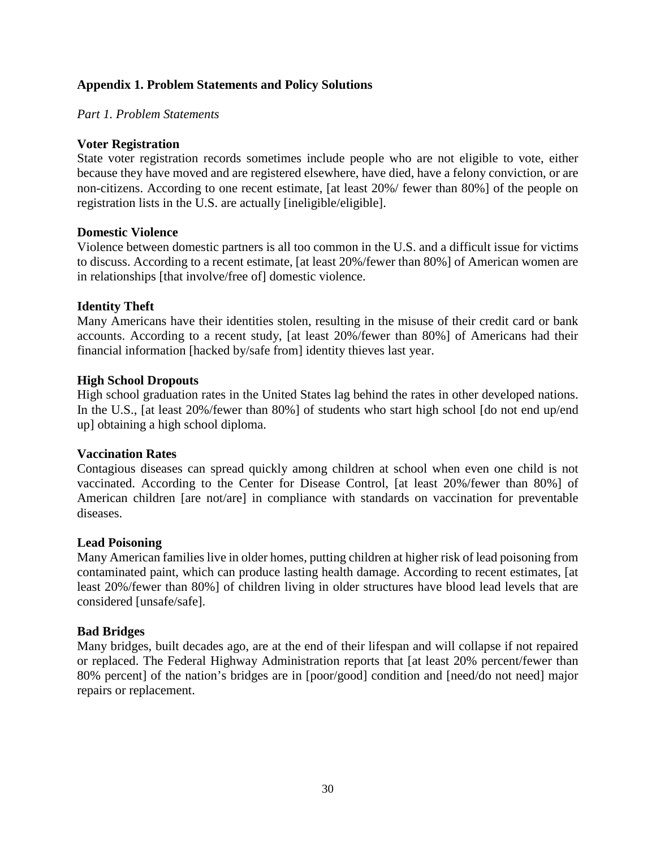# **Appendix 1. Problem Statements and Policy Solutions**

*Part 1. Problem Statements*

## **Voter Registration**

State voter registration records sometimes include people who are not eligible to vote, either because they have moved and are registered elsewhere, have died, have a felony conviction, or are non-citizens. According to one recent estimate, [at least 20%/ fewer than 80%] of the people on registration lists in the U.S. are actually [ineligible/eligible].

### **Domestic Violence**

Violence between domestic partners is all too common in the U.S. and a difficult issue for victims to discuss. According to a recent estimate, [at least 20%/fewer than 80%] of American women are in relationships [that involve/free of] domestic violence.

# **Identity Theft**

Many Americans have their identities stolen, resulting in the misuse of their credit card or bank accounts. According to a recent study, [at least 20%/fewer than 80%] of Americans had their financial information [hacked by/safe from] identity thieves last year.

### **High School Dropouts**

High school graduation rates in the United States lag behind the rates in other developed nations. In the U.S., [at least 20%/fewer than 80%] of students who start high school [do not end up/end up] obtaining a high school diploma.

# **Vaccination Rates**

Contagious diseases can spread quickly among children at school when even one child is not vaccinated. According to the Center for Disease Control, [at least 20%/fewer than 80%] of American children [are not/are] in compliance with standards on vaccination for preventable diseases.

#### **Lead Poisoning**

Many American families live in older homes, putting children at higher risk of lead poisoning from contaminated paint, which can produce lasting health damage. According to recent estimates, [at least 20%/fewer than 80%] of children living in older structures have blood lead levels that are considered [unsafe/safe].

# **Bad Bridges**

Many bridges, built decades ago, are at the end of their lifespan and will collapse if not repaired or replaced. The Federal Highway Administration reports that [at least 20% percent/fewer than 80% percent] of the nation's bridges are in [poor/good] condition and [need/do not need] major repairs or replacement.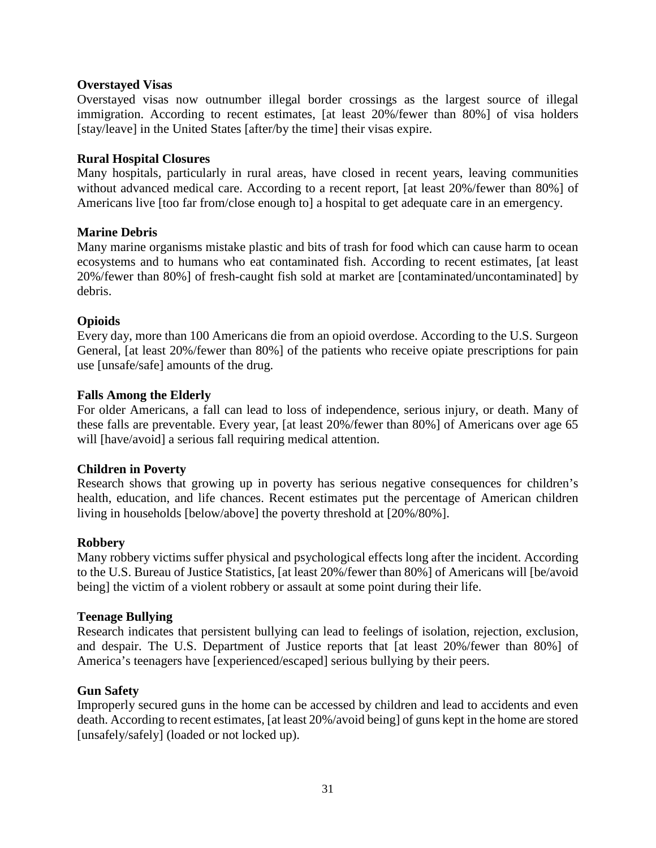# **Overstayed Visas**

Overstayed visas now outnumber illegal border crossings as the largest source of illegal immigration. According to recent estimates, [at least 20%/fewer than 80%] of visa holders [stay/leave] in the United States [after/by the time] their visas expire.

### **Rural Hospital Closures**

Many hospitals, particularly in rural areas, have closed in recent years, leaving communities without advanced medical care. According to a recent report, [at least 20%/fewer than 80%] of Americans live [too far from/close enough to] a hospital to get adequate care in an emergency.

### **Marine Debris**

Many marine organisms mistake plastic and bits of trash for food which can cause harm to ocean ecosystems and to humans who eat contaminated fish. According to recent estimates, [at least 20%/fewer than 80%] of fresh-caught fish sold at market are [contaminated/uncontaminated] by debris.

### **Opioids**

Every day, more than 100 Americans die from an opioid overdose. According to the U.S. Surgeon General, [at least 20%/fewer than 80%] of the patients who receive opiate prescriptions for pain use [unsafe/safe] amounts of the drug.

### **Falls Among the Elderly**

For older Americans, a fall can lead to loss of independence, serious injury, or death. Many of these falls are preventable. Every year, [at least 20%/fewer than 80%] of Americans over age 65 will [have/avoid] a serious fall requiring medical attention.

#### **Children in Poverty**

Research shows that growing up in poverty has serious negative consequences for children's health, education, and life chances. Recent estimates put the percentage of American children living in households [below/above] the poverty threshold at [20%/80%].

#### **Robbery**

Many robbery victims suffer physical and psychological effects long after the incident. According to the U.S. Bureau of Justice Statistics, [at least 20%/fewer than 80%] of Americans will [be/avoid being] the victim of a violent robbery or assault at some point during their life.

#### **Teenage Bullying**

Research indicates that persistent bullying can lead to feelings of isolation, rejection, exclusion, and despair. The U.S. Department of Justice reports that [at least 20%/fewer than 80%] of America's teenagers have [experienced/escaped] serious bullying by their peers.

#### **Gun Safety**

Improperly secured guns in the home can be accessed by children and lead to accidents and even death. According to recent estimates, [at least 20%/avoid being] of guns kept in the home are stored [unsafely/safely] (loaded or not locked up).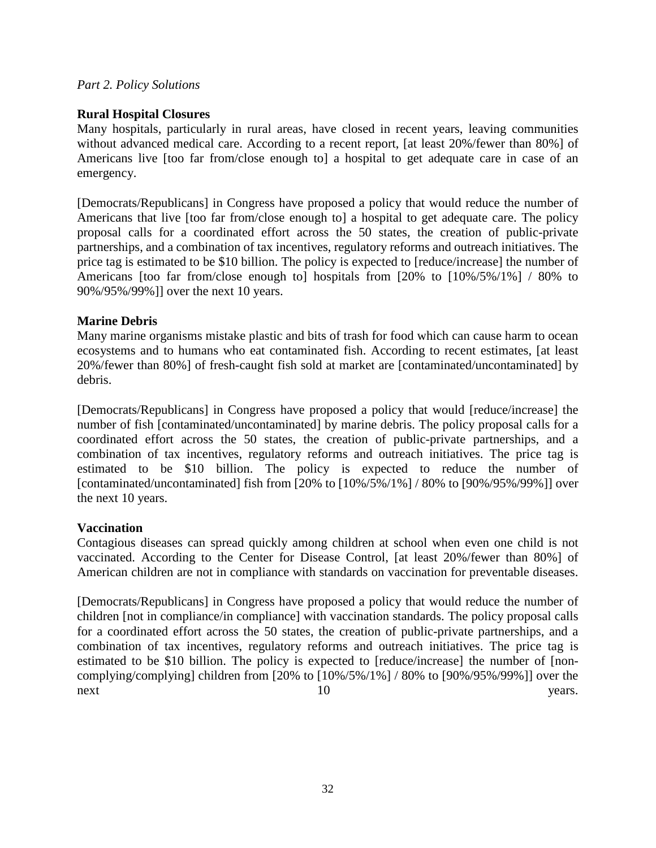## *Part 2. Policy Solutions*

# **Rural Hospital Closures**

Many hospitals, particularly in rural areas, have closed in recent years, leaving communities without advanced medical care. According to a recent report, [at least 20%/fewer than 80%] of Americans live [too far from/close enough to] a hospital to get adequate care in case of an emergency.

[Democrats/Republicans] in Congress have proposed a policy that would reduce the number of Americans that live [too far from/close enough to] a hospital to get adequate care. The policy proposal calls for a coordinated effort across the 50 states, the creation of public-private partnerships, and a combination of tax incentives, regulatory reforms and outreach initiatives. The price tag is estimated to be \$10 billion. The policy is expected to [reduce/increase] the number of Americans [too far from/close enough to] hospitals from [20% to [10%/5%/1%] / 80% to 90%/95%/99%]] over the next 10 years.

# **Marine Debris**

Many marine organisms mistake plastic and bits of trash for food which can cause harm to ocean ecosystems and to humans who eat contaminated fish. According to recent estimates, [at least 20%/fewer than 80%] of fresh-caught fish sold at market are [contaminated/uncontaminated] by debris.

[Democrats/Republicans] in Congress have proposed a policy that would [reduce/increase] the number of fish [contaminated/uncontaminated] by marine debris. The policy proposal calls for a coordinated effort across the 50 states, the creation of public-private partnerships, and a combination of tax incentives, regulatory reforms and outreach initiatives. The price tag is estimated to be \$10 billion. The policy is expected to reduce the number of [contaminated/uncontaminated] fish from [20% to [10%/5%/1%] / 80% to [90%/95%/99%]] over the next 10 years.

# **Vaccination**

Contagious diseases can spread quickly among children at school when even one child is not vaccinated. According to the Center for Disease Control, [at least 20%/fewer than 80%] of American children are not in compliance with standards on vaccination for preventable diseases.

[Democrats/Republicans] in Congress have proposed a policy that would reduce the number of children [not in compliance/in compliance] with vaccination standards. The policy proposal calls for a coordinated effort across the 50 states, the creation of public-private partnerships, and a combination of tax incentives, regulatory reforms and outreach initiatives. The price tag is estimated to be \$10 billion. The policy is expected to [reduce/increase] the number of [noncomplying/complying] children from [20% to [10%/5%/1%] / 80% to [90%/95%/99%]] over the next 10 years.